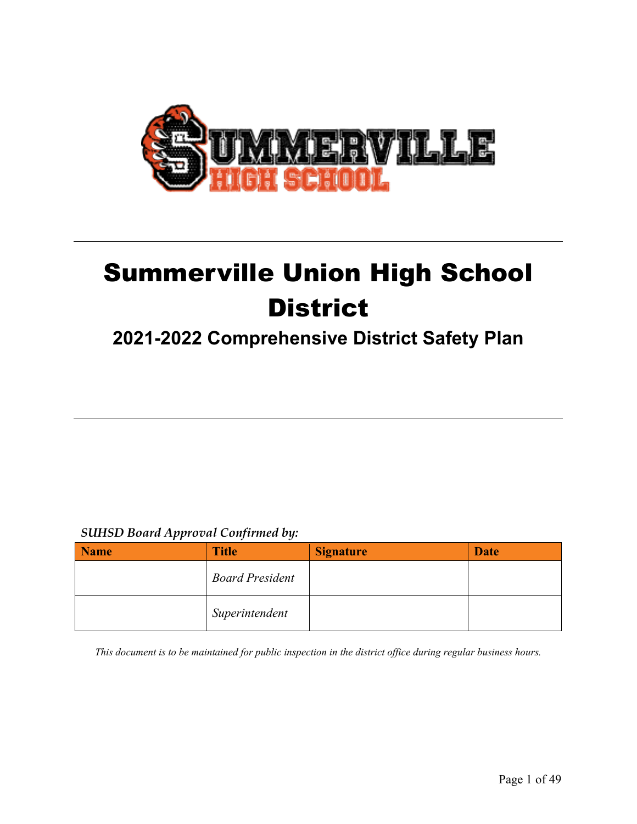

# Summerville Union High School **District**

# **2021-2022 Comprehensive District Safety Plan**

# *SUHSD Board Approval Confirmed by:*

| <b>Name</b> | <b>Title</b>           | <b>Signature</b> | <b>Date</b> |
|-------------|------------------------|------------------|-------------|
|             | <b>Board President</b> |                  |             |
|             | Superintendent         |                  |             |

*This document is to be maintained for public inspection in the district office during regular business hours.*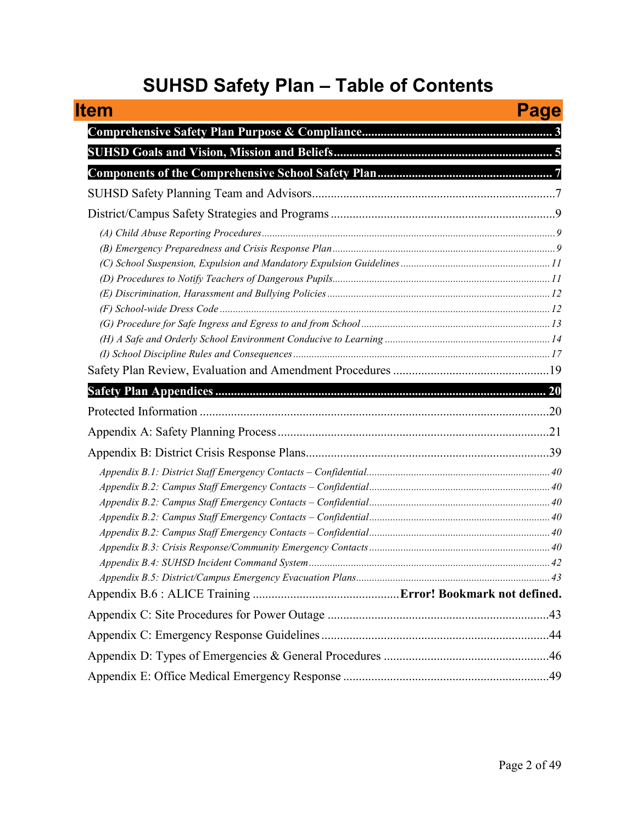# **SUHSD Safety Plan – Table of Contents**

| ltem | Page |
|------|------|
|      |      |
|      |      |
|      |      |
|      |      |
|      |      |
|      |      |
|      |      |
|      |      |
|      |      |
|      |      |
|      |      |
|      |      |
|      |      |
|      |      |
|      |      |
|      |      |
|      |      |
|      |      |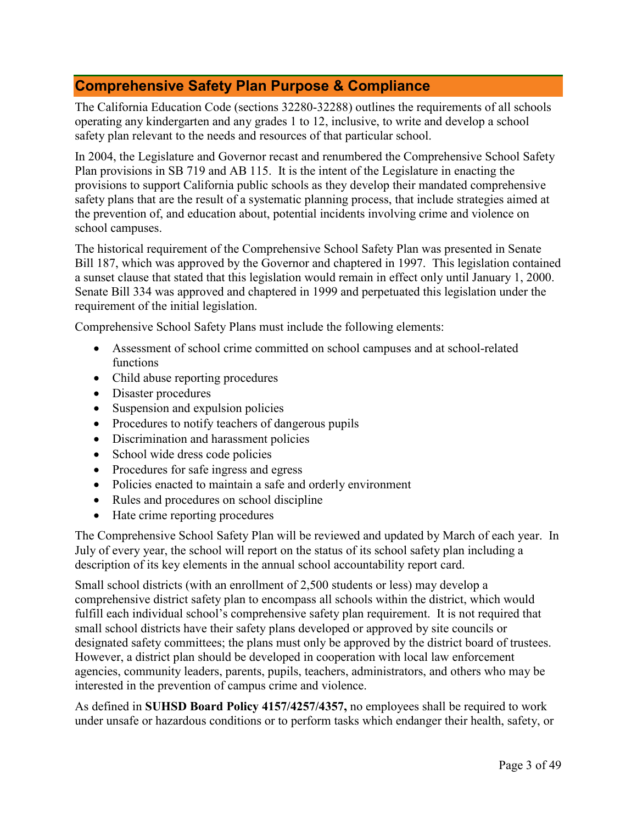# <span id="page-2-0"></span>**Comprehensive Safety Plan Purpose & Compliance**

The California Education Code (sections 32280-32288) outlines the requirements of all schools operating any kindergarten and any grades 1 to 12, inclusive, to write and develop a school safety plan relevant to the needs and resources of that particular school.

In 2004, the Legislature and Governor recast and renumbered the Comprehensive School Safety Plan provisions in SB 719 and AB 115. It is the intent of the Legislature in enacting the provisions to support California public schools as they develop their mandated comprehensive safety plans that are the result of a systematic planning process, that include strategies aimed at the prevention of, and education about, potential incidents involving crime and violence on school campuses.

The historical requirement of the Comprehensive School Safety Plan was presented in Senate Bill 187, which was approved by the Governor and chaptered in 1997. This legislation contained a sunset clause that stated that this legislation would remain in effect only until January 1, 2000. Senate Bill 334 was approved and chaptered in 1999 and perpetuated this legislation under the requirement of the initial legislation.

Comprehensive School Safety Plans must include the following elements:

- Assessment of school crime committed on school campuses and at school-related functions
- Child abuse reporting procedures
- Disaster procedures
- Suspension and expulsion policies
- Procedures to notify teachers of dangerous pupils
- Discrimination and harassment policies
- School wide dress code policies
- Procedures for safe ingress and egress
- Policies enacted to maintain a safe and orderly environment
- Rules and procedures on school discipline
- Hate crime reporting procedures

The Comprehensive School Safety Plan will be reviewed and updated by March of each year. In July of every year, the school will report on the status of its school safety plan including a description of its key elements in the annual school accountability report card.

Small school districts (with an enrollment of 2,500 students or less) may develop a comprehensive district safety plan to encompass all schools within the district, which would fulfill each individual school's comprehensive safety plan requirement. It is not required that small school districts have their safety plans developed or approved by site councils or designated safety committees; the plans must only be approved by the district board of trustees. However, a district plan should be developed in cooperation with local law enforcement agencies, community leaders, parents, pupils, teachers, administrators, and others who may be interested in the prevention of campus crime and violence.

As defined in **SUHSD Board Policy 4157/4257/4357,** no employees shall be required to work under unsafe or hazardous conditions or to perform tasks which endanger their health, safety, or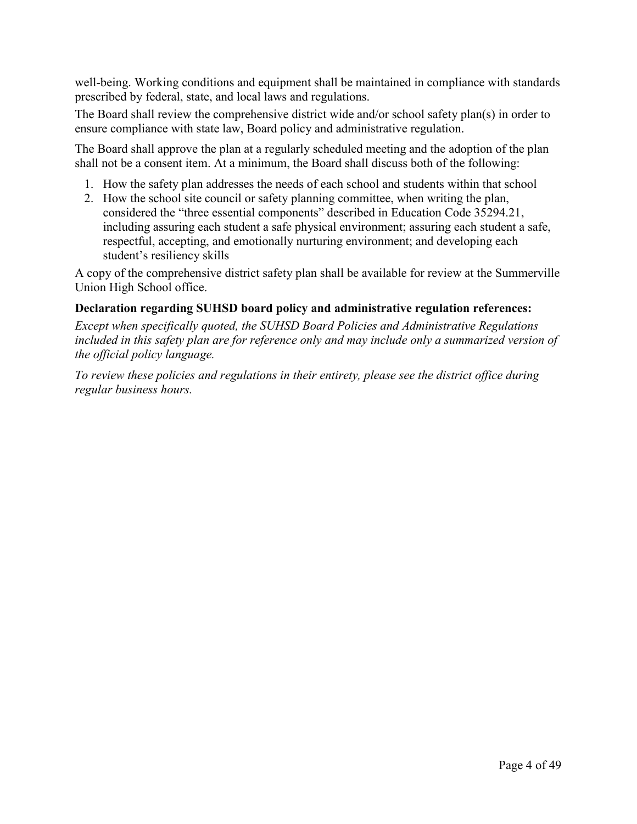well-being. Working conditions and equipment shall be maintained in compliance with standards prescribed by federal, state, and local laws and regulations.

The Board shall review the comprehensive district wide and/or school safety plan(s) in order to ensure compliance with state law, Board policy and administrative regulation.

The Board shall approve the plan at a regularly scheduled meeting and the adoption of the plan shall not be a consent item. At a minimum, the Board shall discuss both of the following:

- 1. How the safety plan addresses the needs of each school and students within that school
- 2. How the school site council or safety planning committee, when writing the plan, considered the "three essential components" described in Education Code 35294.21, including assuring each student a safe physical environment; assuring each student a safe, respectful, accepting, and emotionally nurturing environment; and developing each student's resiliency skills

A copy of the comprehensive district safety plan shall be available for review at the Summerville Union High School office.

### **Declaration regarding SUHSD board policy and administrative regulation references:**

*Except when specifically quoted, the SUHSD Board Policies and Administrative Regulations*  included in this safety plan are for reference only and may include only a summarized version of *the official policy language.* 

*To review these policies and regulations in their entirety, please see the district office during regular business hours.*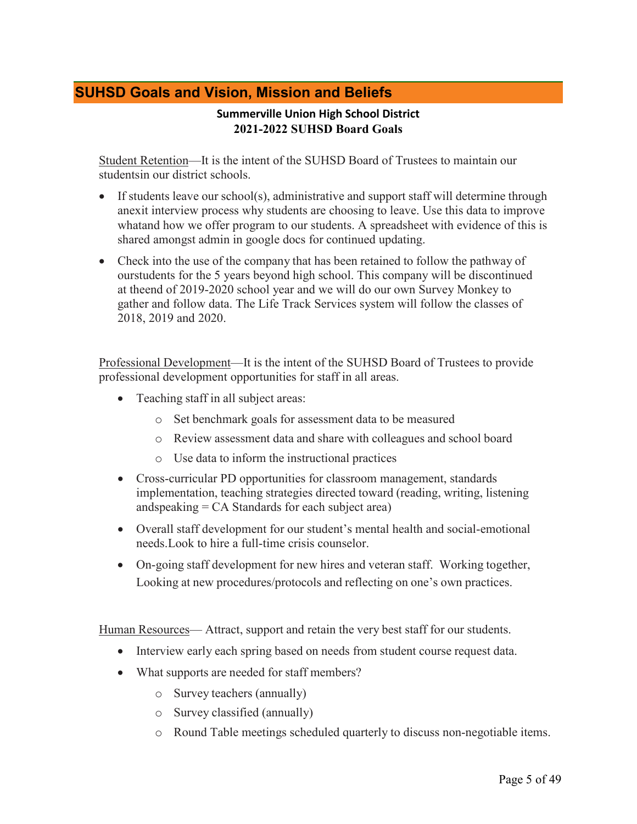# <span id="page-4-0"></span>**SUHSD Goals and Vision, Mission and Beliefs**

### **Summerville Union High School District 2021-2022 SUHSD Board Goals**

Student Retention—It is the intent of the SUHSD Board of Trustees to maintain our studentsin our district schools.

- If students leave our school(s), administrative and support staff will determine through anexit interview process why students are choosing to leave. Use this data to improve whatand how we offer program to our students. A spreadsheet with evidence of this is shared amongst admin in google docs for continued updating.
- Check into the use of the company that has been retained to follow the pathway of ourstudents for the 5 years beyond high school. This company will be discontinued at theend of 2019-2020 school year and we will do our own Survey Monkey to gather and follow data. The Life Track Services system will follow the classes of 2018, 2019 and 2020.

Professional Development—It is the intent of the SUHSD Board of Trustees to provide professional development opportunities for staff in all areas.

- Teaching staff in all subject areas:
	- o Set benchmark goals for assessment data to be measured
	- o Review assessment data and share with colleagues and school board
	- o Use data to inform the instructional practices
- Cross-curricular PD opportunities for classroom management, standards implementation, teaching strategies directed toward (reading, writing, listening andspeaking = CA Standards for each subject area)
- Overall staff development for our student's mental health and social-emotional needs.Look to hire a full-time crisis counselor.
- On-going staff development for new hires and veteran staff. Working together, Looking at new procedures/protocols and reflecting on one's own practices.

Human Resources— Attract, support and retain the very best staff for our students.

- Interview early each spring based on needs from student course request data.
- What supports are needed for staff members?
	- o Survey teachers (annually)
	- o Survey classified (annually)
	- o Round Table meetings scheduled quarterly to discuss non-negotiable items.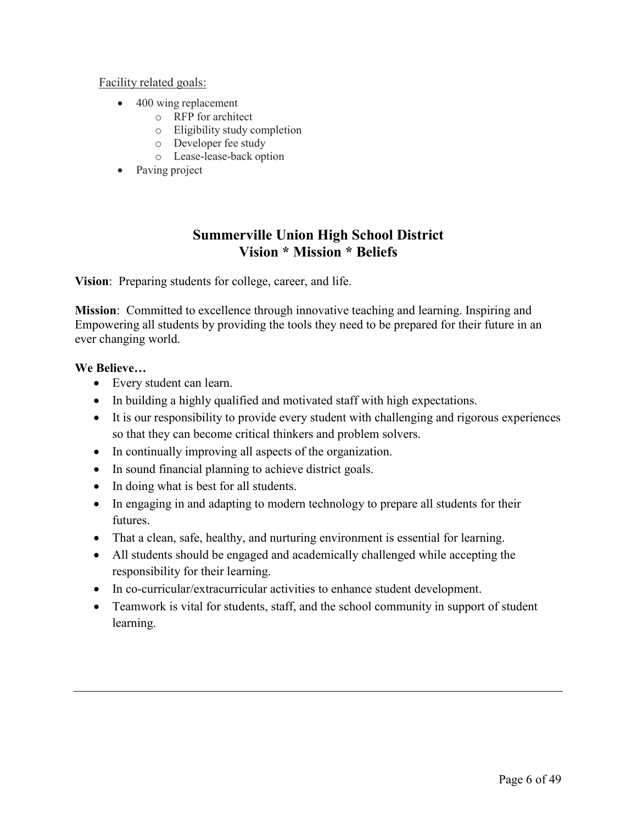### Facility related goals:

- 400 wing replacement
	- o RFP for architect
	- o Eligibility study completion
	- o Developer fee study
	- o Lease-lease-back option
- Paving project

# **Summerville Union High School District Vision \* Mission \* Beliefs**

**Vision**: Preparing students for college, career, and life.

**Mission**: Committed to excellence through innovative teaching and learning. Inspiring and Empowering all students by providing the tools they need to be prepared for their future in an ever changing world.

### **We Believe…**

- Every student can learn.
- In building a highly qualified and motivated staff with high expectations.
- It is our responsibility to provide every student with challenging and rigorous experiences so that they can become critical thinkers and problem solvers.
- In continually improving all aspects of the organization.
- In sound financial planning to achieve district goals.
- In doing what is best for all students.
- In engaging in and adapting to modern technology to prepare all students for their futures.
- That a clean, safe, healthy, and nurturing environment is essential for learning.
- All students should be engaged and academically challenged while accepting the responsibility for their learning.
- In co-curricular/extracurricular activities to enhance student development.
- Teamwork is vital for students, staff, and the school community in support of student learning.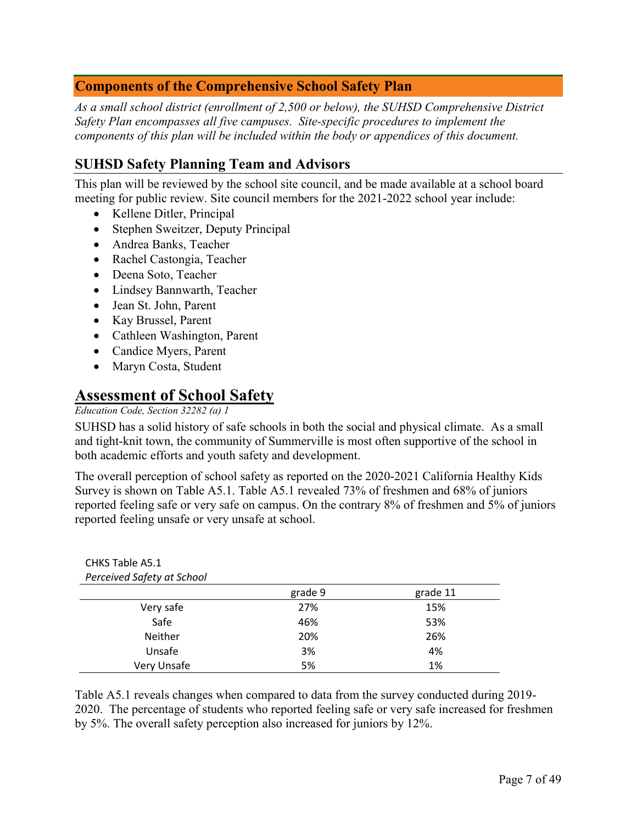# <span id="page-6-0"></span>**Components of the Comprehensive School Safety Plan**

*As a small school district (enrollment of 2,500 or below), the SUHSD Comprehensive District Safety Plan encompasses all five campuses. Site-specific procedures to implement the components of this plan will be included within the body or appendices of this document.*

# <span id="page-6-1"></span>**SUHSD Safety Planning Team and Advisors**

This plan will be reviewed by the school site council, and be made available at a school board meeting for public review. Site council members for the 2021-2022 school year include:

- Kellene Ditler, Principal
- Stephen Sweitzer, Deputy Principal
- Andrea Banks, Teacher
- Rachel Castongia, Teacher
- Deena Soto, Teacher
- Lindsey Bannwarth, Teacher
- Jean St. John, Parent
- Kay Brussel, Parent
- Cathleen Washington, Parent
- Candice Myers, Parent
- Maryn Costa, Student

# **Assessment of School Safety**

### *Education Code, Section 32282 (a) 1*

CHKS Table A5.1

SUHSD has a solid history of safe schools in both the social and physical climate. As a small and tight-knit town, the community of Summerville is most often supportive of the school in both academic efforts and youth safety and development.

The overall perception of school safety as reported on the 2020-2021 California Healthy Kids Survey is shown on Table A5.1. Table A5.1 revealed 73% of freshmen and 68% of juniors reported feeling safe or very safe on campus. On the contrary 8% of freshmen and 5% of juniors reported feeling unsafe or very unsafe at school.

| Perceived Safety at School |         |          |
|----------------------------|---------|----------|
|                            | grade 9 | grade 11 |
| Very safe                  | 27%     | 15%      |
| Safe                       | 46%     | 53%      |
| Neither                    | 20%     | 26%      |
| Unsafe                     | 3%      | 4%       |
| Very Unsafe                | 5%      | 1%       |

Table A5.1 reveals changes when compared to data from the survey conducted during 2019- 2020. The percentage of students who reported feeling safe or very safe increased for freshmen by 5%. The overall safety perception also increased for juniors by 12%.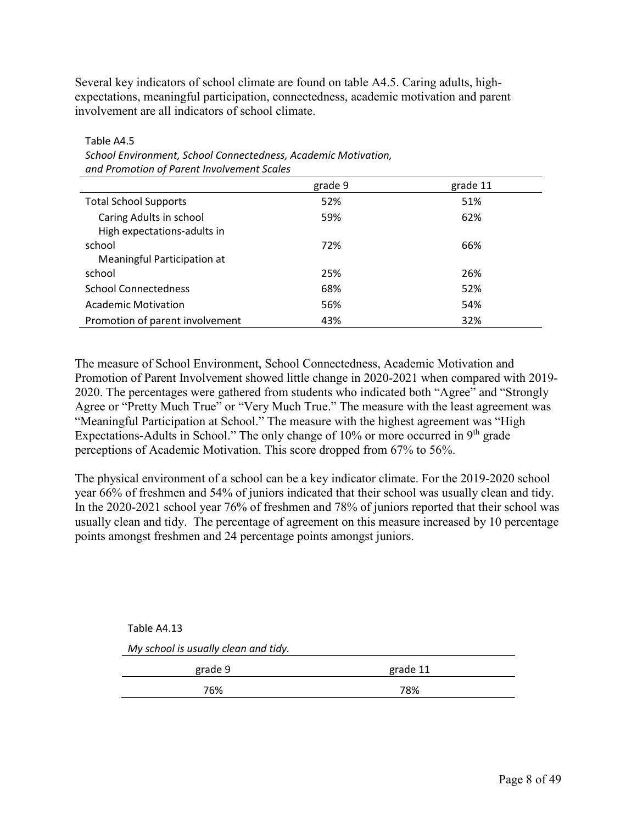Several key indicators of school climate are found on table A4.5. Caring adults, highexpectations, meaningful participation, connectedness, academic motivation and parent involvement are all indicators of school climate.

|                                 | grade 9 | grade 11 |
|---------------------------------|---------|----------|
| <b>Total School Supports</b>    | 52%     | 51%      |
| Caring Adults in school         | 59%     | 62%      |
| High expectations-adults in     |         |          |
| school                          | 72%     | 66%      |
| Meaningful Participation at     |         |          |
| school                          | 25%     | 26%      |
| <b>School Connectedness</b>     | 68%     | 52%      |
| <b>Academic Motivation</b>      | 56%     | 54%      |
| Promotion of parent involvement | 43%     | 32%      |

Table A4.5 *School Environment, School Connectedness, Academic Motivation, and Promotion of Parent Involvement Scales*

The measure of School Environment, School Connectedness, Academic Motivation and Promotion of Parent Involvement showed little change in 2020-2021 when compared with 2019- 2020. The percentages were gathered from students who indicated both "Agree" and "Strongly Agree or "Pretty Much True" or "Very Much True." The measure with the least agreement was "Meaningful Participation at School." The measure with the highest agreement was "High Expectations-Adults in School." The only change of  $10\%$  or more occurred in 9<sup>th</sup> grade perceptions of Academic Motivation. This score dropped from 67% to 56%.

The physical environment of a school can be a key indicator climate. For the 2019-2020 school year 66% of freshmen and 54% of juniors indicated that their school was usually clean and tidy. In the 2020-2021 school year 76% of freshmen and 78% of juniors reported that their school was usually clean and tidy. The percentage of agreement on this measure increased by 10 percentage points amongst freshmen and 24 percentage points amongst juniors.

| Table A4.13                          |          |
|--------------------------------------|----------|
| My school is usually clean and tidy. |          |
| grade 9                              | grade 11 |
| 76%                                  | 78%      |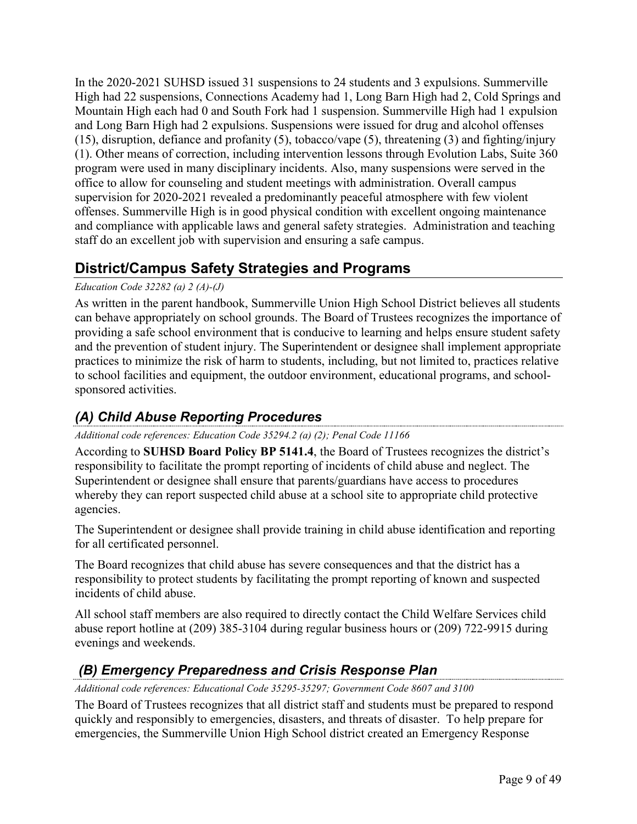In the 2020-2021 SUHSD issued 31 suspensions to 24 students and 3 expulsions. Summerville High had 22 suspensions, Connections Academy had 1, Long Barn High had 2, Cold Springs and Mountain High each had 0 and South Fork had 1 suspension. Summerville High had 1 expulsion and Long Barn High had 2 expulsions. Suspensions were issued for drug and alcohol offenses (15), disruption, defiance and profanity (5), tobacco/vape (5), threatening (3) and fighting/injury (1). Other means of correction, including intervention lessons through Evolution Labs, Suite 360 program were used in many disciplinary incidents. Also, many suspensions were served in the office to allow for counseling and student meetings with administration. Overall campus supervision for 2020-2021 revealed a predominantly peaceful atmosphere with few violent offenses. Summerville High is in good physical condition with excellent ongoing maintenance and compliance with applicable laws and general safety strategies. Administration and teaching staff do an excellent job with supervision and ensuring a safe campus.

# <span id="page-8-0"></span>**District/Campus Safety Strategies and Programs**

### *Education Code 32282 (a) 2 (A)-(J)*

As written in the parent handbook, Summerville Union High School District believes all students can behave appropriately on school grounds. The Board of Trustees recognizes the importance of providing a safe school environment that is conducive to learning and helps ensure student safety and the prevention of student injury. The Superintendent or designee shall implement appropriate practices to minimize the risk of harm to students, including, but not limited to, practices relative to school facilities and equipment, the outdoor environment, educational programs, and schoolsponsored activities.

# <span id="page-8-1"></span>*(A) Child Abuse Reporting Procedures*

### *Additional code references: Education Code 35294.2 (a) (2); Penal Code 11166*

According to **SUHSD Board Policy BP 5141.4**, the Board of Trustees recognizes the district's responsibility to facilitate the prompt reporting of incidents of child abuse and neglect. The Superintendent or designee shall ensure that parents/guardians have access to procedures whereby they can report suspected child abuse at a school site to appropriate child protective agencies.

The Superintendent or designee shall provide training in child abuse identification and reporting for all certificated personnel.

The Board recognizes that child abuse has severe consequences and that the district has a responsibility to protect students by facilitating the prompt reporting of known and suspected incidents of child abuse.

All school staff members are also required to directly contact the Child Welfare Services child abuse report hotline at (209) 385-3104 during regular business hours or (209) 722-9915 during evenings and weekends.

# <span id="page-8-2"></span>*(B) Emergency Preparedness and Crisis Response Plan*

### *Additional code references: Educational Code 35295-35297; Government Code 8607 and 3100*

The Board of Trustees recognizes that all district staff and students must be prepared to respond quickly and responsibly to emergencies, disasters, and threats of disaster. To help prepare for emergencies, the Summerville Union High School district created an Emergency Response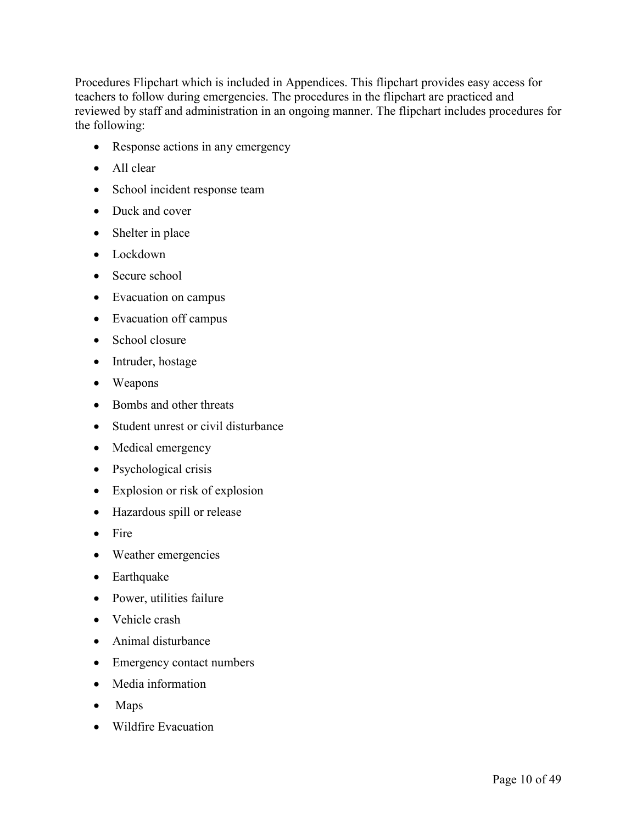Procedures Flipchart which is included in Appendices. This flipchart provides easy access for teachers to follow during emergencies. The procedures in the flipchart are practiced and reviewed by staff and administration in an ongoing manner. The flipchart includes procedures for the following:

- Response actions in any emergency
- All clear
- School incident response team
- Duck and cover
- Shelter in place
- Lockdown
- Secure school
- Evacuation on campus
- Evacuation off campus
- School closure
- Intruder, hostage
- Weapons
- Bombs and other threats
- Student unrest or civil disturbance
- Medical emergency
- Psychological crisis
- Explosion or risk of explosion
- Hazardous spill or release
- Fire
- Weather emergencies
- Earthquake
- Power, utilities failure
- Vehicle crash
- Animal disturbance
- Emergency contact numbers
- Media information
- Maps
- Wildfire Evacuation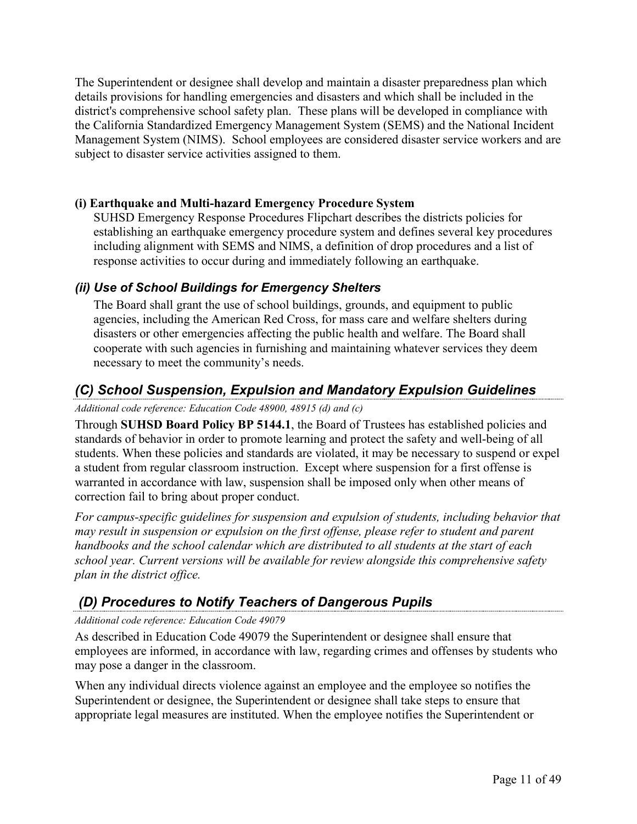The Superintendent or designee shall develop and maintain a disaster preparedness plan which details provisions for handling emergencies and disasters and which shall be included in the district's comprehensive school safety plan. These plans will be developed in compliance with the California Standardized Emergency Management System (SEMS) and the National Incident Management System (NIMS). School employees are considered disaster service workers and are subject to disaster service activities assigned to them.

### **(i) Earthquake and Multi-hazard Emergency Procedure System**

SUHSD Emergency Response Procedures Flipchart describes the districts policies for establishing an earthquake emergency procedure system and defines several key procedures including alignment with SEMS and NIMS, a definition of drop procedures and a list of response activities to occur during and immediately following an earthquake.

# *(ii) Use of School Buildings for Emergency Shelters*

The Board shall grant the use of school buildings, grounds, and equipment to public agencies, including the American Red Cross, for mass care and welfare shelters during disasters or other emergencies affecting the public health and welfare. The Board shall cooperate with such agencies in furnishing and maintaining whatever services they deem necessary to meet the community's needs.

# <span id="page-10-0"></span>*(C) School Suspension, Expulsion and Mandatory Expulsion Guidelines*

### *Additional code reference: Education Code 48900, 48915 (d) and (c)*

Through **SUHSD Board Policy BP 5144.1**, the Board of Trustees has established policies and standards of behavior in order to promote learning and protect the safety and well-being of all students. When these policies and standards are violated, it may be necessary to suspend or expel a student from regular classroom instruction.Except where suspension for a first offense is warranted in accordance with law, suspension shall be imposed only when other means of correction fail to bring about proper conduct.

*For campus-specific guidelines for suspension and expulsion of students, including behavior that may result in suspension or expulsion on the first offense, please refer to student and parent handbooks and the school calendar which are distributed to all students at the start of each school year. Current versions will be available for review alongside this comprehensive safety plan in the district office.*

# <span id="page-10-1"></span>*(D) Procedures to Notify Teachers of Dangerous Pupils*

### *Additional code reference: Education Code 49079*

As described in Education Code 49079 the Superintendent or designee shall ensure that employees are informed, in accordance with law, regarding crimes and offenses by students who may pose a danger in the classroom.

When any individual directs violence against an employee and the employee so notifies the Superintendent or designee, the Superintendent or designee shall take steps to ensure that appropriate legal measures are instituted. When the employee notifies the Superintendent or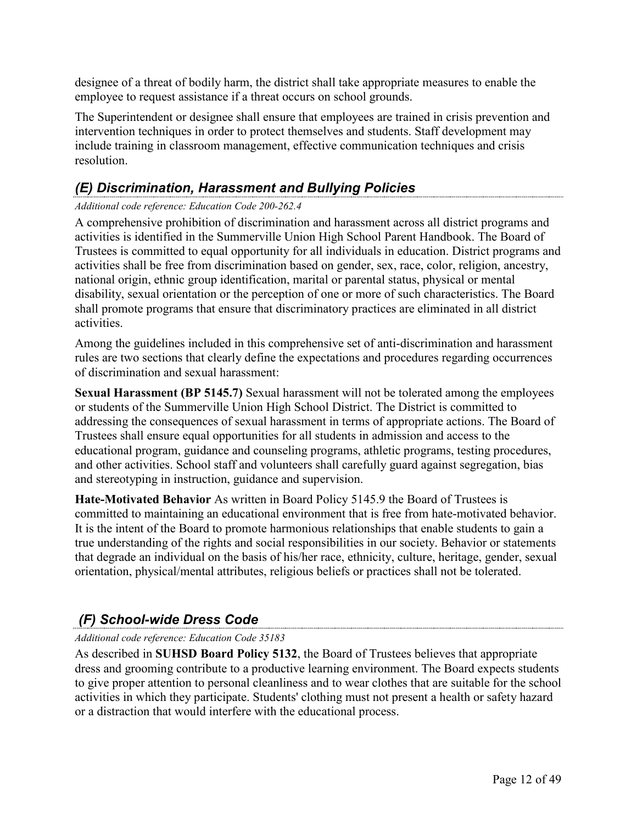designee of a threat of bodily harm, the district shall take appropriate measures to enable the employee to request assistance if a threat occurs on school grounds.

The Superintendent or designee shall ensure that employees are trained in crisis prevention and intervention techniques in order to protect themselves and students. Staff development may include training in classroom management, effective communication techniques and crisis resolution.

# <span id="page-11-0"></span>*(E) Discrimination, Harassment and Bullying Policies*

### *Additional code reference: Education Code 200-262.4*

A comprehensive prohibition of discrimination and harassment across all district programs and activities is identified in the Summerville Union High School Parent Handbook. The Board of Trustees is committed to equal opportunity for all individuals in education. District programs and activities shall be free from discrimination based on gender, sex, race, color, religion, ancestry, national origin, ethnic group identification, marital or parental status, physical or mental disability, sexual orientation or the perception of one or more of such characteristics. The Board shall promote programs that ensure that discriminatory practices are eliminated in all district activities.

Among the guidelines included in this comprehensive set of anti-discrimination and harassment rules are two sections that clearly define the expectations and procedures regarding occurrences of discrimination and sexual harassment:

**Sexual Harassment (BP 5145.7)** Sexual harassment will not be tolerated among the employees or students of the Summerville Union High School District. The District is committed to addressing the consequences of sexual harassment in terms of appropriate actions. The Board of Trustees shall ensure equal opportunities for all students in admission and access to the educational program, guidance and counseling programs, athletic programs, testing procedures, and other activities. School staff and volunteers shall carefully guard against segregation, bias and stereotyping in instruction, guidance and supervision.

**Hate-Motivated Behavior** As written in Board Policy 5145.9 the Board of Trustees is committed to maintaining an educational environment that is free from hate-motivated behavior. It is the intent of the Board to promote harmonious relationships that enable students to gain a true understanding of the rights and social responsibilities in our society. Behavior or statements that degrade an individual on the basis of his/her race, ethnicity, culture, heritage, gender, sexual orientation, physical/mental attributes, religious beliefs or practices shall not be tolerated.

# <span id="page-11-1"></span>*(F) School-wide Dress Code*

### *Additional code reference: Education Code 35183*

As described in **SUHSD Board Policy 5132**, the Board of Trustees believes that appropriate dress and grooming contribute to a productive learning environment. The Board expects students to give proper attention to personal cleanliness and to wear clothes that are suitable for the school activities in which they participate. Students' clothing must not present a health or safety hazard or a distraction that would interfere with the educational process.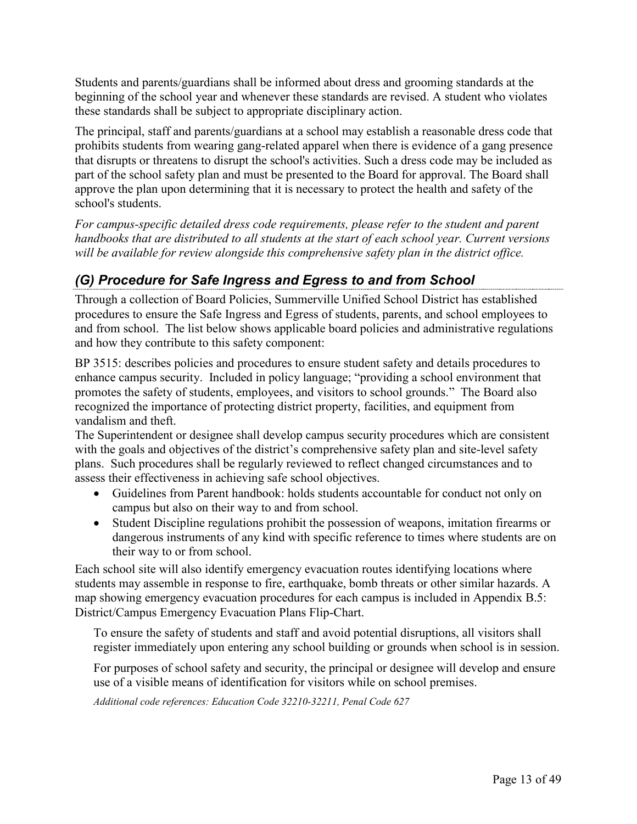Students and parents/guardians shall be informed about dress and grooming standards at the beginning of the school year and whenever these standards are revised. A student who violates these standards shall be subject to appropriate disciplinary action.

The principal, staff and parents/guardians at a school may establish a reasonable dress code that prohibits students from wearing gang-related apparel when there is evidence of a gang presence that disrupts or threatens to disrupt the school's activities. Such a dress code may be included as part of the school safety plan and must be presented to the Board for approval. The Board shall approve the plan upon determining that it is necessary to protect the health and safety of the school's students.

*For campus-specific detailed dress code requirements, please refer to the student and parent handbooks that are distributed to all students at the start of each school year. Current versions will be available for review alongside this comprehensive safety plan in the district office.*

# <span id="page-12-0"></span>*(G) Procedure for Safe Ingress and Egress to and from School*

Through a collection of Board Policies, Summerville Unified School District has established procedures to ensure the Safe Ingress and Egress of students, parents, and school employees to and from school. The list below shows applicable board policies and administrative regulations and how they contribute to this safety component:

BP 3515: describes policies and procedures to ensure student safety and details procedures to enhance campus security. Included in policy language; "providing a school environment that promotes the safety of students, employees, and visitors to school grounds." The Board also recognized the importance of protecting district property, facilities, and equipment from vandalism and theft.

The Superintendent or designee shall develop campus security procedures which are consistent with the goals and objectives of the district's comprehensive safety plan and site-level safety plans. Such procedures shall be regularly reviewed to reflect changed circumstances and to assess their effectiveness in achieving safe school objectives.

- Guidelines from Parent handbook: holds students accountable for conduct not only on campus but also on their way to and from school.
- Student Discipline regulations prohibit the possession of weapons, imitation firearms or dangerous instruments of any kind with specific reference to times where students are on their way to or from school.

Each school site will also identify emergency evacuation routes identifying locations where students may assemble in response to fire, earthquake, bomb threats or other similar hazards. A map showing emergency evacuation procedures for each campus is included in [Appendix B.5:](#page-42-0)  [District/Campus Emergency Evacuation Plans](#page-42-0) Flip-Chart.

To ensure the safety of students and staff and avoid potential disruptions, all visitors shall register immediately upon entering any school building or grounds when school is in session.

For purposes of school safety and security, the principal or designee will develop and ensure use of a visible means of identification for visitors while on school premises.

*Additional code references: Education Code 32210-32211, Penal Code 627*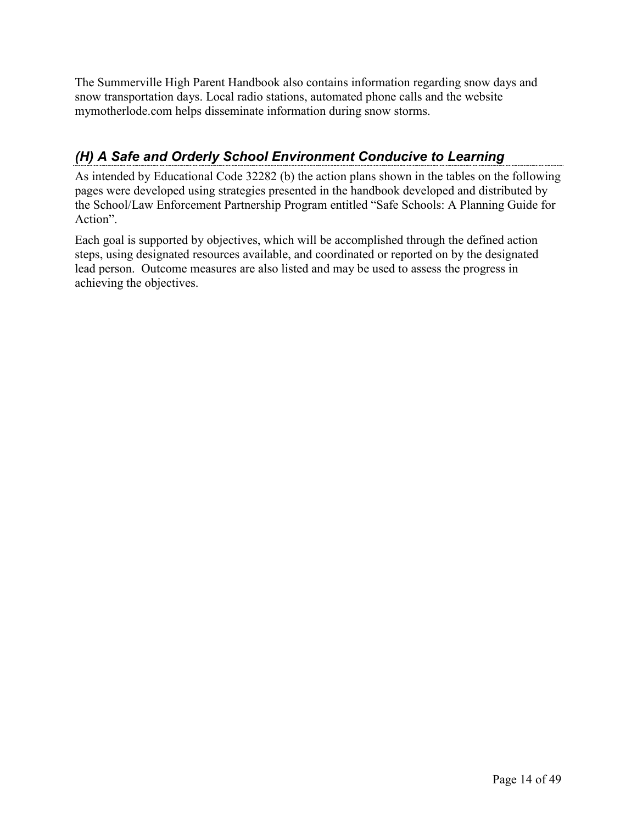The Summerville High Parent Handbook also contains information regarding snow days and snow transportation days. Local radio stations, automated phone calls and the website mymotherlode.com helps disseminate information during snow storms.

# <span id="page-13-0"></span>*(H) A Safe and Orderly School Environment Conducive to Learning*

As intended by Educational Code 32282 (b) the action plans shown in the tables on the following pages were developed using strategies presented in the handbook developed and distributed by the School/Law Enforcement Partnership Program entitled "Safe Schools: A Planning Guide for Action".

Each goal is supported by objectives, which will be accomplished through the defined action steps, using designated resources available, and coordinated or reported on by the designated lead person. Outcome measures are also listed and may be used to assess the progress in achieving the objectives.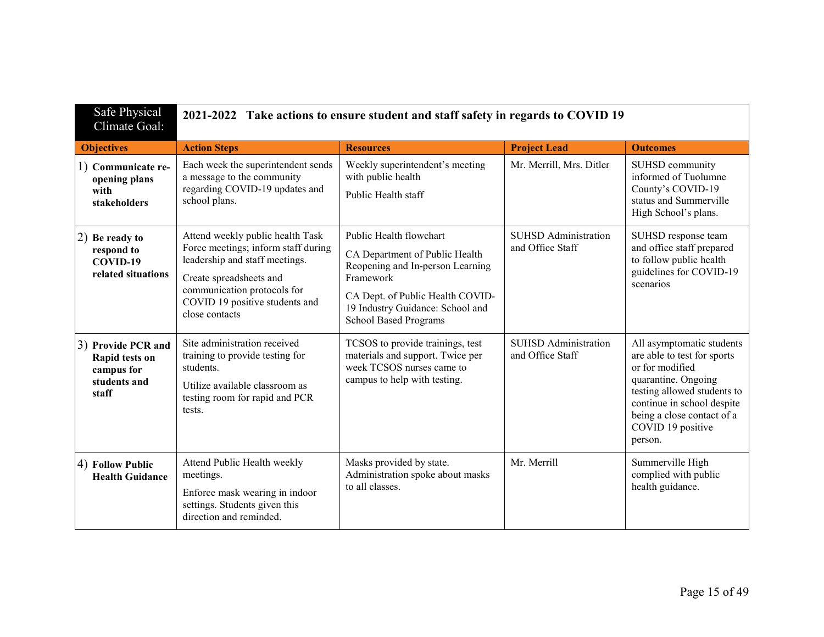| Safe Physical<br>Climate Goal:                                              | 2021-2022 Take actions to ensure student and staff safety in regards to COVID 19                                                                                                                                        |                                                                                                                                                                                                                    |                                                 |                                                                                                                                                                                                                               |
|-----------------------------------------------------------------------------|-------------------------------------------------------------------------------------------------------------------------------------------------------------------------------------------------------------------------|--------------------------------------------------------------------------------------------------------------------------------------------------------------------------------------------------------------------|-------------------------------------------------|-------------------------------------------------------------------------------------------------------------------------------------------------------------------------------------------------------------------------------|
| <b>Objectives</b>                                                           | <b>Action Steps</b>                                                                                                                                                                                                     | <b>Resources</b>                                                                                                                                                                                                   | <b>Project Lead</b>                             | <b>Outcomes</b>                                                                                                                                                                                                               |
| 1) Communicate re-<br>opening plans<br>with<br>stakeholders                 | Each week the superintendent sends<br>a message to the community<br>regarding COVID-19 updates and<br>school plans.                                                                                                     | Weekly superintendent's meeting<br>with public health<br>Public Health staff                                                                                                                                       | Mr. Merrill, Mrs. Ditler                        | SUHSD community<br>informed of Tuolumne<br>County's COVID-19<br>status and Summerville<br>High School's plans.                                                                                                                |
| 2) Be ready to<br>respond to<br>COVID-19<br>related situations              | Attend weekly public health Task<br>Force meetings; inform staff during<br>leadership and staff meetings.<br>Create spreadsheets and<br>communication protocols for<br>COVID 19 positive students and<br>close contacts | Public Health flowchart<br>CA Department of Public Health<br>Reopening and In-person Learning<br>Framework<br>CA Dept. of Public Health COVID-<br>19 Industry Guidance: School and<br><b>School Based Programs</b> | <b>SUHSD</b> Administration<br>and Office Staff | SUHSD response team<br>and office staff prepared<br>to follow public health<br>guidelines for COVID-19<br>scenarios                                                                                                           |
| 3) Provide PCR and<br>Rapid tests on<br>campus for<br>students and<br>staff | Site administration received<br>training to provide testing for<br>students.<br>Utilize available classroom as<br>testing room for rapid and PCR<br>tests.                                                              | TCSOS to provide trainings, test<br>materials and support. Twice per<br>week TCSOS nurses came to<br>campus to help with testing.                                                                                  | <b>SUHSD</b> Administration<br>and Office Staff | All asymptomatic students<br>are able to test for sports<br>or for modified<br>quarantine. Ongoing<br>testing allowed students to<br>continue in school despite<br>being a close contact of a<br>COVID 19 positive<br>person. |
| 4) Follow Public<br><b>Health Guidance</b>                                  | Attend Public Health weekly<br>meetings.<br>Enforce mask wearing in indoor<br>settings. Students given this<br>direction and reminded.                                                                                  | Masks provided by state.<br>Administration spoke about masks<br>to all classes.                                                                                                                                    | Mr. Merrill                                     | Summerville High<br>complied with public<br>health guidance.                                                                                                                                                                  |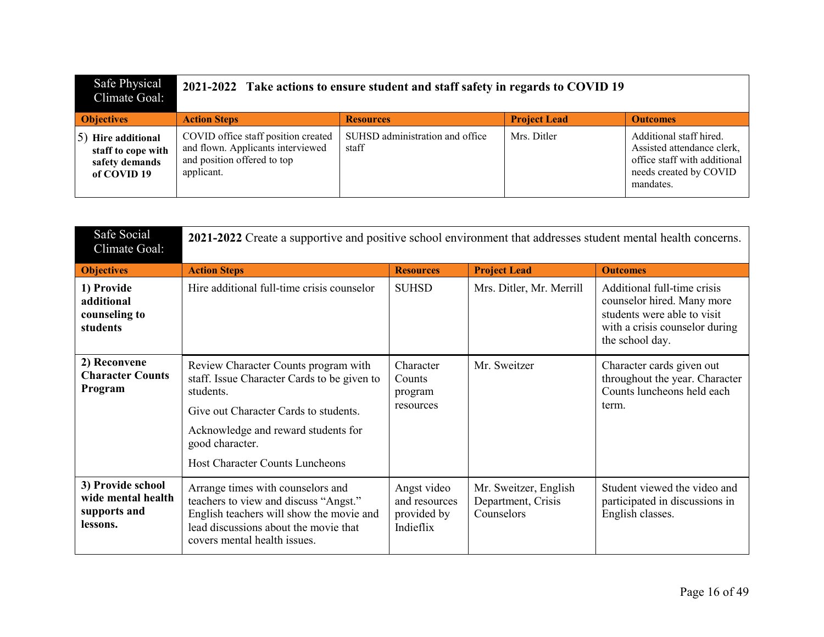| Safe Physical<br>Climate Goal:                                               | 2021-2022 Take actions to ensure student and staff safety in regards to COVID 19                                      |                                          |                     |                                                                                                                              |
|------------------------------------------------------------------------------|-----------------------------------------------------------------------------------------------------------------------|------------------------------------------|---------------------|------------------------------------------------------------------------------------------------------------------------------|
| <b>Objectives</b>                                                            | <b>Action Steps</b>                                                                                                   | <b>Resources</b>                         | <b>Project Lead</b> | <b>Outcomes</b>                                                                                                              |
| $(5)$ Hire additional<br>staff to cope with<br>safety demands<br>of COVID 19 | COVID office staff position created<br>and flown. Applicants interviewed<br>and position offered to top<br>applicant. | SUHSD administration and office<br>staff | Mrs. Ditler         | Additional staff hired.<br>Assisted attendance clerk,<br>office staff with additional<br>needs created by COVID<br>mandates. |

| Safe Social<br>Climate Goal:                                        | 2021-2022 Create a supportive and positive school environment that addresses student mental health concerns.                                                                                                                                  |                                                          |                                                           |                                                                                                                                               |
|---------------------------------------------------------------------|-----------------------------------------------------------------------------------------------------------------------------------------------------------------------------------------------------------------------------------------------|----------------------------------------------------------|-----------------------------------------------------------|-----------------------------------------------------------------------------------------------------------------------------------------------|
| <b>Objectives</b>                                                   | <b>Action Steps</b>                                                                                                                                                                                                                           | <b>Resources</b>                                         | <b>Project Lead</b>                                       | <b>Outcomes</b>                                                                                                                               |
| 1) Provide<br>additional<br>counseling to<br>students               | Hire additional full-time crisis counselor                                                                                                                                                                                                    | <b>SUHSD</b>                                             | Mrs. Ditler, Mr. Merrill                                  | Additional full-time crisis<br>counselor hired. Many more<br>students were able to visit<br>with a crisis counselor during<br>the school day. |
| 2) Reconvene<br><b>Character Counts</b><br>Program                  | Review Character Counts program with<br>staff. Issue Character Cards to be given to<br>students.<br>Give out Character Cards to students.<br>Acknowledge and reward students for<br>good character.<br><b>Host Character Counts Luncheons</b> | Character<br>Counts<br>program<br>resources              | Mr. Sweitzer                                              | Character cards given out<br>throughout the year. Character<br>Counts luncheons held each<br>term.                                            |
| 3) Provide school<br>wide mental health<br>supports and<br>lessons. | Arrange times with counselors and<br>teachers to view and discuss "Angst."<br>English teachers will show the movie and<br>lead discussions about the movie that<br>covers mental health issues.                                               | Angst video<br>and resources<br>provided by<br>Indieflix | Mr. Sweitzer, English<br>Department, Crisis<br>Counselors | Student viewed the video and<br>participated in discussions in<br>English classes.                                                            |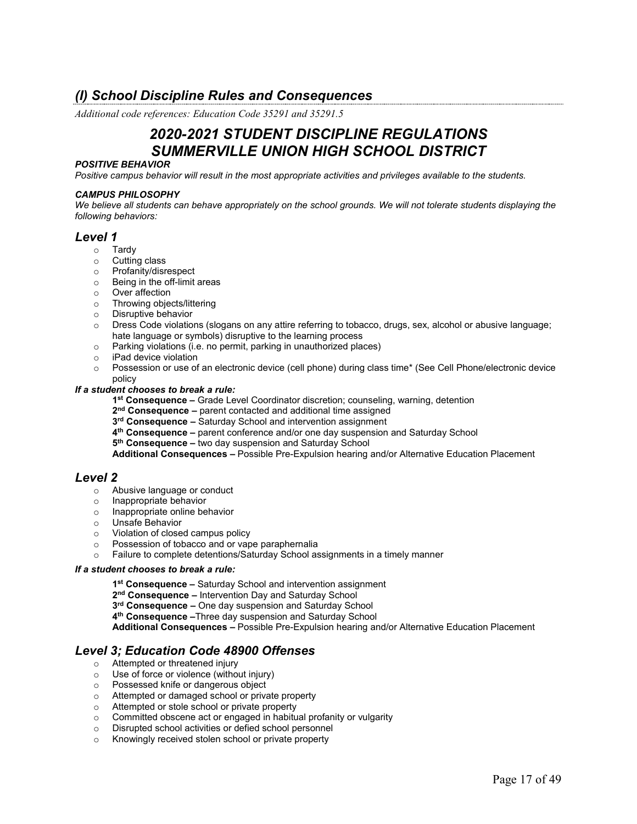# <span id="page-16-0"></span>*(I) School Discipline Rules and Consequences*

*Additional code references: Education Code 35291 and 35291.5*

# *2020-2021 STUDENT DISCIPLINE REGULATIONS SUMMERVILLE UNION HIGH SCHOOL DISTRICT*

#### *POSITIVE BEHAVIOR*

*Positive campus behavior will result in the most appropriate activities and privileges available to the students.* 

#### *CAMPUS PHILOSOPHY*

*We believe all students can behave appropriately on the school grounds. We will not tolerate students displaying the following behaviors:*

### *Level 1*

- o Tardy
- o Cutting class
- o Profanity/disrespect
- o Being in the off-limit areas
- o Over affection
- o Throwing objects/littering
- o Disruptive behavior
- o Dress Code violations (slogans on any attire referring to tobacco, drugs, sex, alcohol or abusive language; hate language or symbols) disruptive to the learning process
- o Parking violations (i.e. no permit, parking in unauthorized places)<br>○ iPad device violation
- iPad device violation
- o Possession or use of an electronic device (cell phone) during class time\* (See Cell Phone/electronic device policy

### *If a student chooses to break a rule:*

- **1st Consequence –** Grade Level Coordinator discretion; counseling, warning, detention
- **2nd Consequence –** parent contacted and additional time assigned
- **3rd Consequence –** Saturday School and intervention assignment
- **4th Consequence –** parent conference and/or one day suspension and Saturday School
- **5th Consequence –** two day suspension and Saturday School

**Additional Consequences –** Possible Pre-Expulsion hearing and/or Alternative Education Placement

### *Level 2*

- o Abusive language or conduct
- o Inappropriate behavior
- o Inappropriate online behavior
- o Unsafe Behavior
- o Violation of closed campus policy
- Possession of tobacco and or vape paraphernalia<br>○ Failure to complete detentions/Saturday School as
- Failure to complete detentions/Saturday School assignments in a timely manner

#### *If a student chooses to break a rule:*

**1st Consequence –** Saturday School and intervention assignment

- **2nd Consequence –** Intervention Day and Saturday School
- **3rd Consequence –** One day suspension and Saturday School
- **4th Consequence –**Three day suspension and Saturday School

**Additional Consequences –** Possible Pre-Expulsion hearing and/or Alternative Education Placement

### *Level 3; Education Code 48900 Offenses*

- $\circ$  Attempted or threatened injury  $\circ$  Use of force or violence (withou
- Use of force or violence (without injury)
- o Possessed knife or dangerous object
- o Attempted or damaged school or private property
- o Attempted or stole school or private property
- o Committed obscene act or engaged in habitual profanity or vulgarity
- o Disrupted school activities or defied school personnel
- o Knowingly received stolen school or private property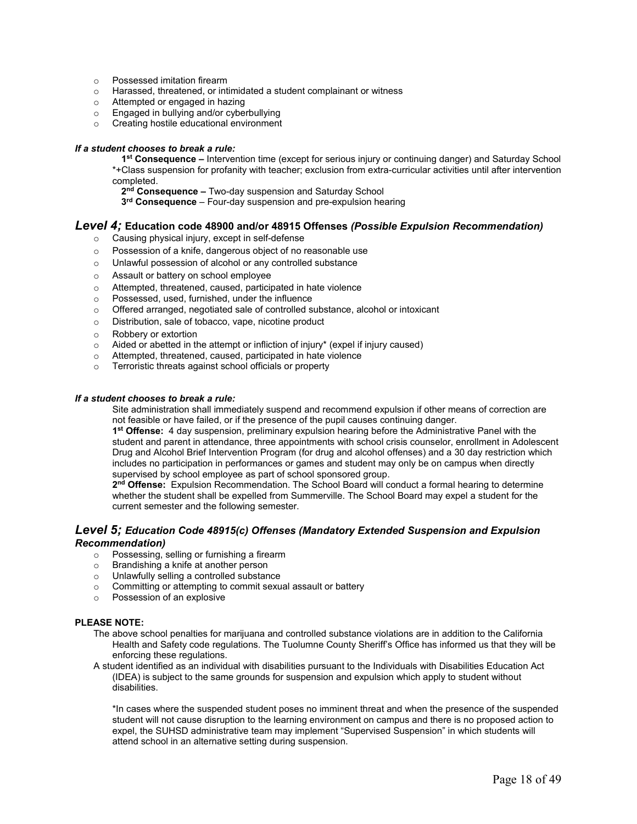- o Possessed imitation firearm
- o Harassed, threatened, or intimidated a student complainant or witness
- o Attempted or engaged in hazing
- o Engaged in bullying and/or cyberbullying
- o Creating hostile educational environment

#### *If a student chooses to break a rule:*

**1st Consequence –** Intervention time (except for serious injury or continuing danger) and Saturday School \*+Class suspension for profanity with teacher; exclusion from extra-curricular activities until after intervention completed.

2<sup>nd</sup> Consequence – Two-day suspension and Saturday School

**3rd Consequence** – Four-day suspension and pre-expulsion hearing

### *Level 4;* **Education code 48900 and/or 48915 Offenses** *(Possible Expulsion Recommendation)*

- o Causing physical injury, except in self-defense
- o Possession of a knife, dangerous object of no reasonable use
- o Unlawful possession of alcohol or any controlled substance
- o Assault or battery on school employee
- o Attempted, threatened, caused, participated in hate violence
- o Possessed, used, furnished, under the influence
- o Offered arranged, negotiated sale of controlled substance, alcohol or intoxicant
- o Distribution, sale of tobacco, vape, nicotine product
- Robbery or extortion<br>○ Aided or abetted in the
- $\circ$  Aided or abetted in the attempt or infliction of injury\* (expel if injury caused)<br>  $\circ$  Attempted, threatened, caused, participated in hate violence
- Attempted, threatened, caused, participated in hate violence
- o Terroristic threats against school officials or property

#### *If a student chooses to break a rule:*

Site administration shall immediately suspend and recommend expulsion if other means of correction are not feasible or have failed, or if the presence of the pupil causes continuing danger.

**1st Offense:** 4 day suspension, preliminary expulsion hearing before the Administrative Panel with the student and parent in attendance, three appointments with school crisis counselor, enrollment in Adolescent Drug and Alcohol Brief Intervention Program (for drug and alcohol offenses) and a 30 day restriction which includes no participation in performances or games and student may only be on campus when directly supervised by school employee as part of school sponsored group.

**2nd Offense:** Expulsion Recommendation. The School Board will conduct a formal hearing to determine whether the student shall be expelled from Summerville. The School Board may expel a student for the current semester and the following semester.

### *Level 5; Education Code 48915(c) Offenses (Mandatory Extended Suspension and Expulsion Recommendation)*

- $\circ$  Possessing, selling or furnishing a firearm  $\circ$  Brandishing a knife at another person
- Brandishing a knife at another person<br>○ Unlawfully selling a controlled substan
- Unlawfully selling a controlled substance
- o Committing or attempting to commit sexual assault or battery
- o Possession of an explosive

### **PLEASE NOTE:**

- The above school penalties for marijuana and controlled substance violations are in addition to the California Health and Safety code regulations. The Tuolumne County Sheriff's Office has informed us that they will be enforcing these regulations.
- A student identified as an individual with disabilities pursuant to the Individuals with Disabilities Education Act (IDEA) is subject to the same grounds for suspension and expulsion which apply to student without disabilities.

\*In cases where the suspended student poses no imminent threat and when the presence of the suspended student will not cause disruption to the learning environment on campus and there is no proposed action to expel, the SUHSD administrative team may implement "Supervised Suspension" in which students will attend school in an alternative setting during suspension.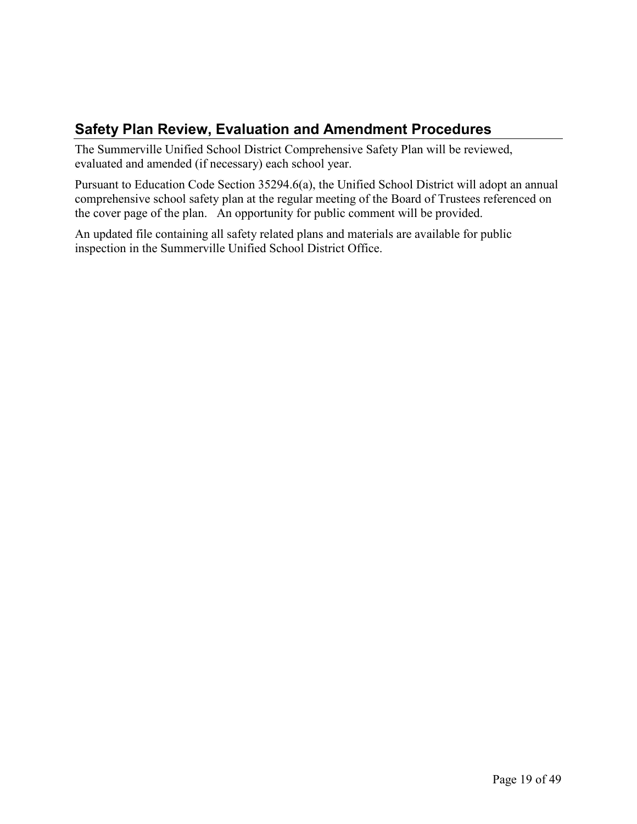# <span id="page-18-0"></span>**Safety Plan Review, Evaluation and Amendment Procedures**

The Summerville Unified School District Comprehensive Safety Plan will be reviewed, evaluated and amended (if necessary) each school year.

Pursuant to Education Code Section 35294.6(a), the Unified School District will adopt an annual comprehensive school safety plan at the regular meeting of the Board of Trustees referenced on the cover page of the plan. An opportunity for public comment will be provided.

An updated file containing all safety related plans and materials are available for public inspection in the Summerville Unified School District Office.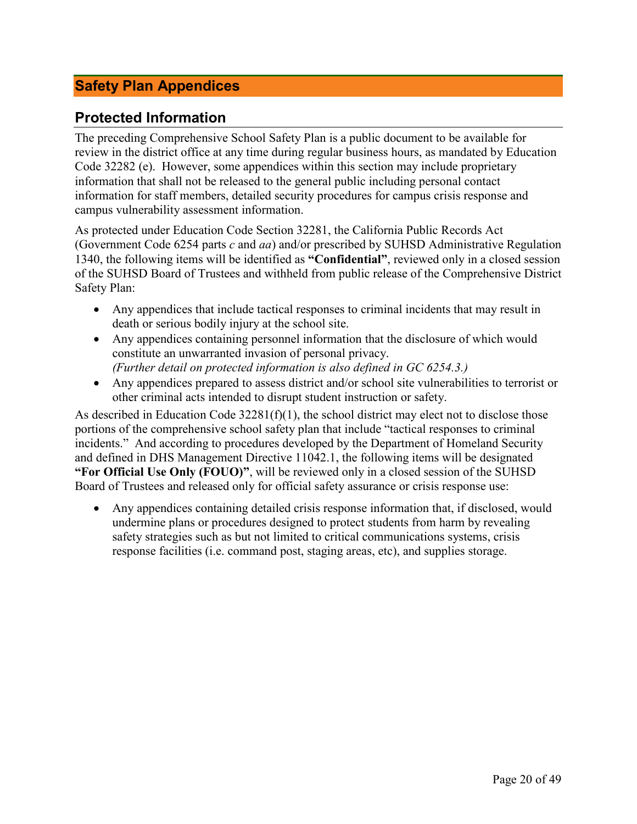# <span id="page-19-0"></span>**Safety Plan Appendices**

# <span id="page-19-1"></span>**Protected Information**

The preceding Comprehensive School Safety Plan is a public document to be available for review in the district office at any time during regular business hours, as mandated by Education Code 32282 (e). However, some appendices within this section may include proprietary information that shall not be released to the general public including personal contact information for staff members, detailed security procedures for campus crisis response and campus vulnerability assessment information.

As protected under Education Code Section 32281, the California Public Records Act (Government Code 6254 parts *c* and *aa*) and/or prescribed by SUHSD Administrative Regulation 1340, the following items will be identified as **"Confidential"**, reviewed only in a closed session of the SUHSD Board of Trustees and withheld from public release of the Comprehensive District Safety Plan:

- Any appendices that include tactical responses to criminal incidents that may result in death or serious bodily injury at the school site.
- Any appendices containing personnel information that the disclosure of which would constitute an unwarranted invasion of personal privacy. *(Further detail on protected information is also defined in GC 6254.3.)*
- Any appendices prepared to assess district and/or school site vulnerabilities to terrorist or other criminal acts intended to disrupt student instruction or safety.

As described in Education Code 32281(f)(1), the school district may elect not to disclose those portions of the comprehensive school safety plan that include "tactical responses to criminal incidents." And according to procedures developed by the Department of Homeland Security and defined in DHS Management Directive 11042.1, the following items will be designated **"For Official Use Only (FOUO)"**, will be reviewed only in a closed session of the SUHSD Board of Trustees and released only for official safety assurance or crisis response use:

• Any appendices containing detailed crisis response information that, if disclosed, would undermine plans or procedures designed to protect students from harm by revealing safety strategies such as but not limited to critical communications systems, crisis response facilities (i.e. command post, staging areas, etc), and supplies storage.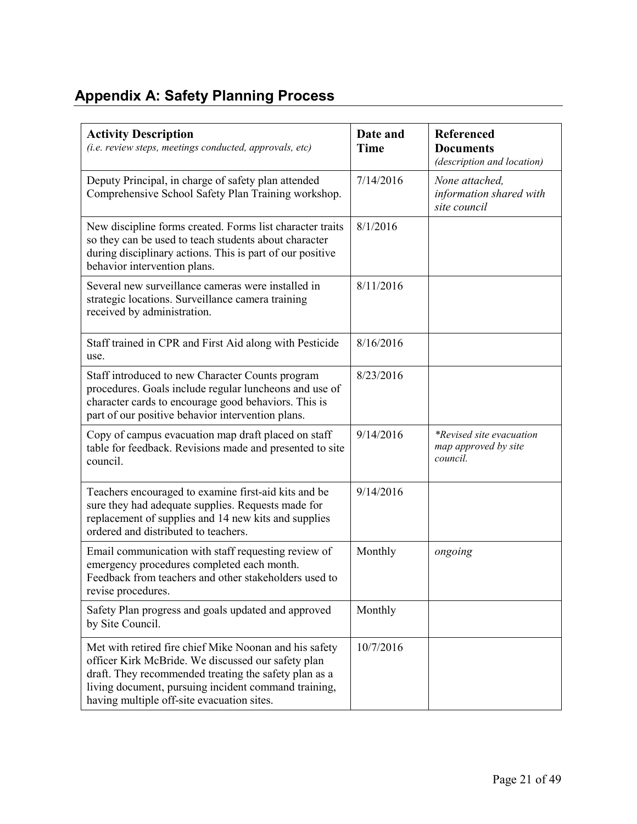# <span id="page-20-0"></span>**Appendix A: Safety Planning Process**

| <b>Activity Description</b><br>(i.e. review steps, meetings conducted, approvals, etc)                                                                                                                                                                                      | Date and<br><b>Time</b> | Referenced<br><b>Documents</b><br>(description and location)        |
|-----------------------------------------------------------------------------------------------------------------------------------------------------------------------------------------------------------------------------------------------------------------------------|-------------------------|---------------------------------------------------------------------|
| Deputy Principal, in charge of safety plan attended<br>Comprehensive School Safety Plan Training workshop.                                                                                                                                                                  | 7/14/2016               | None attached,<br>information shared with<br>site council           |
| New discipline forms created. Forms list character traits<br>so they can be used to teach students about character<br>during disciplinary actions. This is part of our positive<br>behavior intervention plans.                                                             | 8/1/2016                |                                                                     |
| Several new surveillance cameras were installed in<br>strategic locations. Surveillance camera training<br>received by administration.                                                                                                                                      | 8/11/2016               |                                                                     |
| Staff trained in CPR and First Aid along with Pesticide<br>use.                                                                                                                                                                                                             | 8/16/2016               |                                                                     |
| Staff introduced to new Character Counts program<br>procedures. Goals include regular luncheons and use of<br>character cards to encourage good behaviors. This is<br>part of our positive behavior intervention plans.                                                     | 8/23/2016               |                                                                     |
| Copy of campus evacuation map draft placed on staff<br>table for feedback. Revisions made and presented to site<br>council.                                                                                                                                                 | 9/14/2016               | <i>*Revised site evacuation</i><br>map approved by site<br>council. |
| Teachers encouraged to examine first-aid kits and be<br>sure they had adequate supplies. Requests made for<br>replacement of supplies and 14 new kits and supplies<br>ordered and distributed to teachers.                                                                  | 9/14/2016               |                                                                     |
| Email communication with staff requesting review of<br>emergency procedures completed each month.<br>Feedback from teachers and other stakeholders used to<br>revise procedures.                                                                                            | Monthly                 | ongoing                                                             |
| Safety Plan progress and goals updated and approved<br>by Site Council.                                                                                                                                                                                                     | Monthly                 |                                                                     |
| Met with retired fire chief Mike Noonan and his safety<br>officer Kirk McBride. We discussed our safety plan<br>draft. They recommended treating the safety plan as a<br>living document, pursuing incident command training,<br>having multiple off-site evacuation sites. | 10/7/2016               |                                                                     |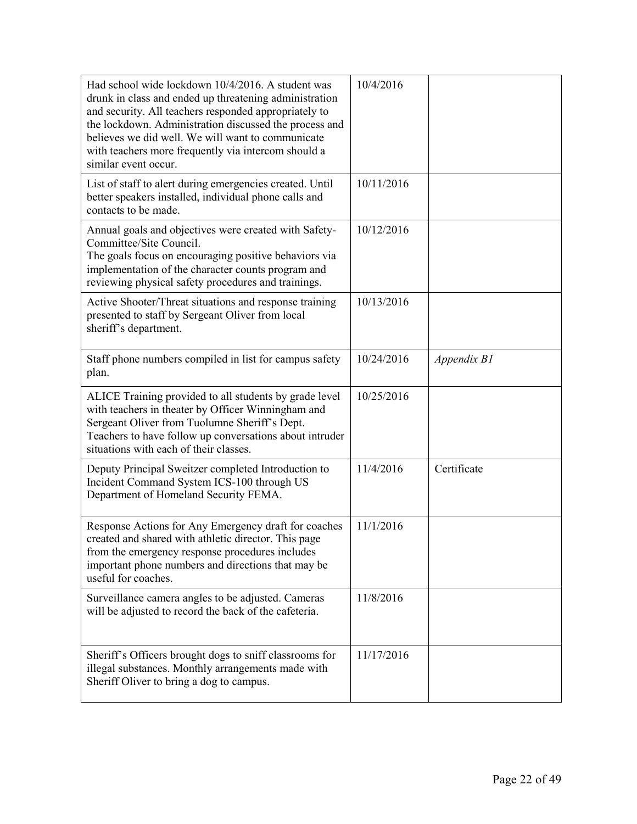| Had school wide lockdown 10/4/2016. A student was<br>drunk in class and ended up threatening administration<br>and security. All teachers responded appropriately to<br>the lockdown. Administration discussed the process and<br>believes we did well. We will want to communicate<br>with teachers more frequently via intercom should a<br>similar event occur. | 10/4/2016  |             |
|--------------------------------------------------------------------------------------------------------------------------------------------------------------------------------------------------------------------------------------------------------------------------------------------------------------------------------------------------------------------|------------|-------------|
| List of staff to alert during emergencies created. Until<br>better speakers installed, individual phone calls and<br>contacts to be made.                                                                                                                                                                                                                          | 10/11/2016 |             |
| Annual goals and objectives were created with Safety-<br>Committee/Site Council.<br>The goals focus on encouraging positive behaviors via<br>implementation of the character counts program and<br>reviewing physical safety procedures and trainings.                                                                                                             | 10/12/2016 |             |
| Active Shooter/Threat situations and response training<br>presented to staff by Sergeant Oliver from local<br>sheriff's department.                                                                                                                                                                                                                                | 10/13/2016 |             |
| Staff phone numbers compiled in list for campus safety<br>plan.                                                                                                                                                                                                                                                                                                    | 10/24/2016 | Appendix B1 |
| ALICE Training provided to all students by grade level<br>with teachers in theater by Officer Winningham and<br>Sergeant Oliver from Tuolumne Sheriff's Dept.<br>Teachers to have follow up conversations about intruder<br>situations with each of their classes.                                                                                                 | 10/25/2016 |             |
| Deputy Principal Sweitzer completed Introduction to<br>Incident Command System ICS-100 through US<br>Department of Homeland Security FEMA.                                                                                                                                                                                                                         | 11/4/2016  | Certificate |
| Response Actions for Any Emergency draft for coaches<br>created and shared with athletic director. This page<br>from the emergency response procedures includes<br>important phone numbers and directions that may be<br>useful for coaches.                                                                                                                       | 11/1/2016  |             |
| Surveillance camera angles to be adjusted. Cameras<br>will be adjusted to record the back of the cafeteria.                                                                                                                                                                                                                                                        | 11/8/2016  |             |
| Sheriff's Officers brought dogs to sniff classrooms for<br>illegal substances. Monthly arrangements made with<br>Sheriff Oliver to bring a dog to campus.                                                                                                                                                                                                          | 11/17/2016 |             |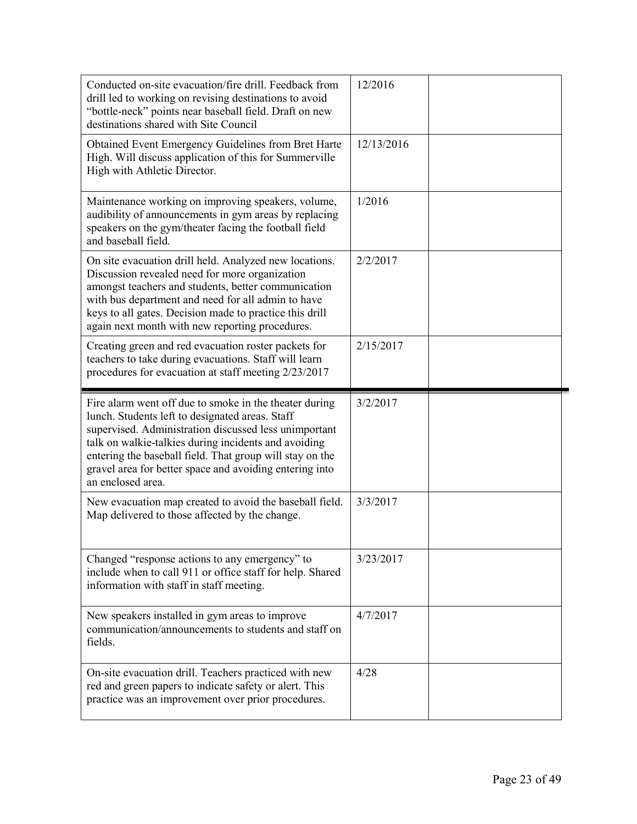| Conducted on-site evacuation/fire drill. Feedback from<br>drill led to working on revising destinations to avoid<br>"bottle-neck" points near baseball field. Draft on new<br>destinations shared with Site Council                                                                                                                                                    | 12/2016    |  |
|------------------------------------------------------------------------------------------------------------------------------------------------------------------------------------------------------------------------------------------------------------------------------------------------------------------------------------------------------------------------|------------|--|
| Obtained Event Emergency Guidelines from Bret Harte<br>High. Will discuss application of this for Summerville<br>High with Athletic Director.                                                                                                                                                                                                                          | 12/13/2016 |  |
| Maintenance working on improving speakers, volume,<br>audibility of announcements in gym areas by replacing<br>speakers on the gym/theater facing the football field<br>and baseball field.                                                                                                                                                                            | 1/2016     |  |
| On site evacuation drill held. Analyzed new locations.<br>Discussion revealed need for more organization<br>amongst teachers and students, better communication<br>with bus department and need for all admin to have<br>keys to all gates. Decision made to practice this drill<br>again next month with new reporting procedures.                                    | 2/2/2017   |  |
| Creating green and red evacuation roster packets for<br>teachers to take during evacuations. Staff will learn<br>procedures for evacuation at staff meeting 2/23/2017                                                                                                                                                                                                  | 2/15/2017  |  |
| Fire alarm went off due to smoke in the theater during<br>lunch. Students left to designated areas. Staff<br>supervised. Administration discussed less unimportant<br>talk on walkie-talkies during incidents and avoiding<br>entering the baseball field. That group will stay on the<br>gravel area for better space and avoiding entering into<br>an enclosed area. | 3/2/2017   |  |
|                                                                                                                                                                                                                                                                                                                                                                        |            |  |
| New evacuation map created to avoid the baseball field.<br>Map delivered to those affected by the change.                                                                                                                                                                                                                                                              | 3/3/2017   |  |
| Changed "response actions to any emergency" to<br>include when to call 911 or office staff for help. Shared<br>information with staff in staff meeting.                                                                                                                                                                                                                | 3/23/2017  |  |
| New speakers installed in gym areas to improve<br>communication/announcements to students and staff on<br>fields.                                                                                                                                                                                                                                                      | 4/7/2017   |  |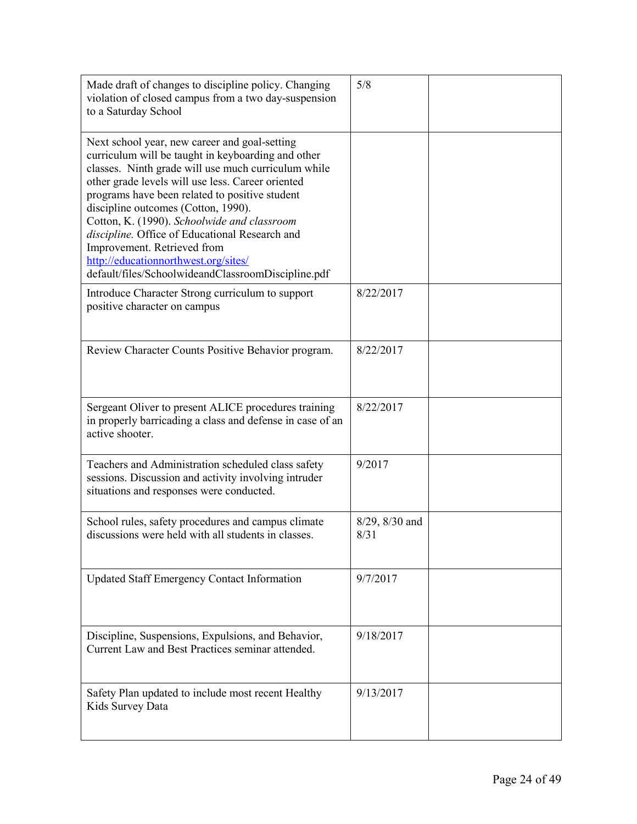| Made draft of changes to discipline policy. Changing<br>violation of closed campus from a two day-suspension<br>to a Saturday School                                                                                                                                                                                                                                                                                                                                                                                                   | 5/8                    |  |
|----------------------------------------------------------------------------------------------------------------------------------------------------------------------------------------------------------------------------------------------------------------------------------------------------------------------------------------------------------------------------------------------------------------------------------------------------------------------------------------------------------------------------------------|------------------------|--|
| Next school year, new career and goal-setting<br>curriculum will be taught in keyboarding and other<br>classes. Ninth grade will use much curriculum while<br>other grade levels will use less. Career oriented<br>programs have been related to positive student<br>discipline outcomes (Cotton, 1990).<br>Cotton, K. (1990). Schoolwide and classroom<br>discipline. Office of Educational Research and<br>Improvement. Retrieved from<br>http://educationnorthwest.org/sites/<br>default/files/SchoolwideandClassroomDiscipline.pdf |                        |  |
| Introduce Character Strong curriculum to support<br>positive character on campus                                                                                                                                                                                                                                                                                                                                                                                                                                                       | 8/22/2017              |  |
| Review Character Counts Positive Behavior program.                                                                                                                                                                                                                                                                                                                                                                                                                                                                                     | 8/22/2017              |  |
| Sergeant Oliver to present ALICE procedures training<br>in properly barricading a class and defense in case of an<br>active shooter.                                                                                                                                                                                                                                                                                                                                                                                                   | 8/22/2017              |  |
| Teachers and Administration scheduled class safety<br>sessions. Discussion and activity involving intruder<br>situations and responses were conducted.                                                                                                                                                                                                                                                                                                                                                                                 | 9/2017                 |  |
| School rules, safety procedures and campus climate<br>discussions were held with all students in classes.                                                                                                                                                                                                                                                                                                                                                                                                                              | 8/29, 8/30 and<br>8/31 |  |
| <b>Updated Staff Emergency Contact Information</b>                                                                                                                                                                                                                                                                                                                                                                                                                                                                                     | 9/7/2017               |  |
| Discipline, Suspensions, Expulsions, and Behavior,<br>Current Law and Best Practices seminar attended.                                                                                                                                                                                                                                                                                                                                                                                                                                 | 9/18/2017              |  |
| Safety Plan updated to include most recent Healthy<br>Kids Survey Data                                                                                                                                                                                                                                                                                                                                                                                                                                                                 | 9/13/2017              |  |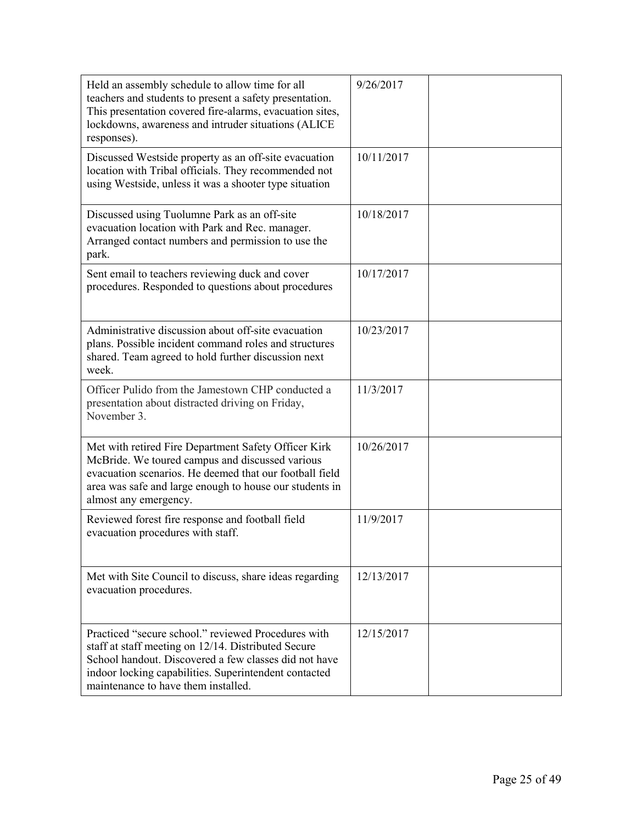| Held an assembly schedule to allow time for all<br>teachers and students to present a safety presentation.<br>This presentation covered fire-alarms, evacuation sites,<br>lockdowns, awareness and intruder situations (ALICE<br>responses).                        | 9/26/2017  |  |
|---------------------------------------------------------------------------------------------------------------------------------------------------------------------------------------------------------------------------------------------------------------------|------------|--|
| Discussed Westside property as an off-site evacuation<br>location with Tribal officials. They recommended not<br>using Westside, unless it was a shooter type situation                                                                                             | 10/11/2017 |  |
| Discussed using Tuolumne Park as an off-site<br>evacuation location with Park and Rec. manager.<br>Arranged contact numbers and permission to use the<br>park.                                                                                                      | 10/18/2017 |  |
| Sent email to teachers reviewing duck and cover<br>procedures. Responded to questions about procedures                                                                                                                                                              | 10/17/2017 |  |
| Administrative discussion about off-site evacuation<br>plans. Possible incident command roles and structures<br>shared. Team agreed to hold further discussion next<br>week.                                                                                        | 10/23/2017 |  |
| Officer Pulido from the Jamestown CHP conducted a<br>presentation about distracted driving on Friday,<br>November 3.                                                                                                                                                | 11/3/2017  |  |
| Met with retired Fire Department Safety Officer Kirk<br>McBride. We toured campus and discussed various<br>evacuation scenarios. He deemed that our football field<br>area was safe and large enough to house our students in<br>almost any emergency.              | 10/26/2017 |  |
| Reviewed forest fire response and football field<br>evacuation procedures with staff.                                                                                                                                                                               | 11/9/2017  |  |
| Met with Site Council to discuss, share ideas regarding<br>evacuation procedures.                                                                                                                                                                                   | 12/13/2017 |  |
| Practiced "secure school." reviewed Procedures with<br>staff at staff meeting on 12/14. Distributed Secure<br>School handout. Discovered a few classes did not have<br>indoor locking capabilities. Superintendent contacted<br>maintenance to have them installed. | 12/15/2017 |  |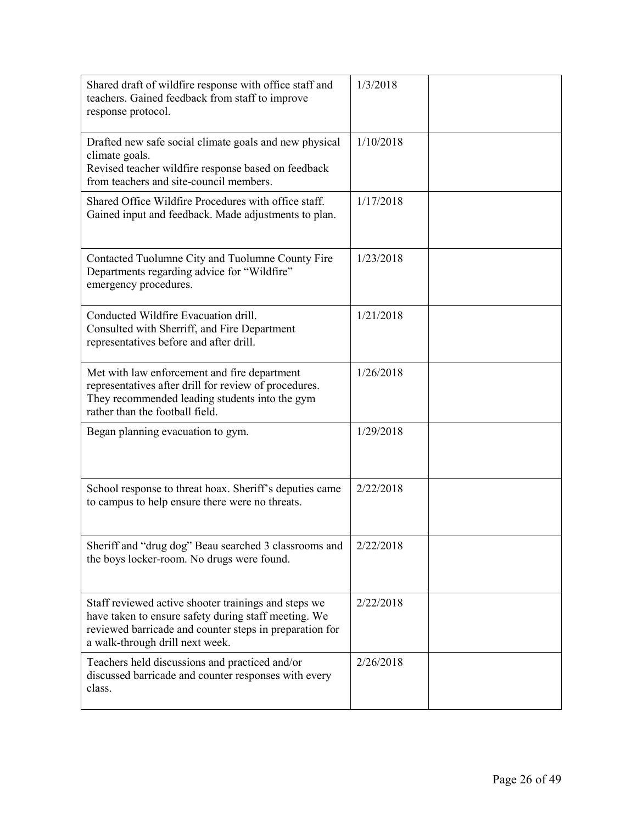| Shared draft of wildfire response with office staff and<br>teachers. Gained feedback from staff to improve<br>response protocol.                                                                           | 1/3/2018  |  |
|------------------------------------------------------------------------------------------------------------------------------------------------------------------------------------------------------------|-----------|--|
| Drafted new safe social climate goals and new physical<br>climate goals.<br>Revised teacher wildfire response based on feedback<br>from teachers and site-council members.                                 | 1/10/2018 |  |
| Shared Office Wildfire Procedures with office staff.<br>Gained input and feedback. Made adjustments to plan.                                                                                               | 1/17/2018 |  |
| Contacted Tuolumne City and Tuolumne County Fire<br>Departments regarding advice for "Wildfire"<br>emergency procedures.                                                                                   | 1/23/2018 |  |
| Conducted Wildfire Evacuation drill.<br>Consulted with Sherriff, and Fire Department<br>representatives before and after drill.                                                                            | 1/21/2018 |  |
| Met with law enforcement and fire department<br>representatives after drill for review of procedures.<br>They recommended leading students into the gym<br>rather than the football field.                 | 1/26/2018 |  |
| Began planning evacuation to gym.                                                                                                                                                                          | 1/29/2018 |  |
| School response to threat hoax. Sheriff's deputies came<br>to campus to help ensure there were no threats.                                                                                                 | 2/22/2018 |  |
| Sheriff and "drug dog" Beau searched 3 classrooms and<br>the boys locker-room. No drugs were found.                                                                                                        | 2/22/2018 |  |
| Staff reviewed active shooter trainings and steps we<br>have taken to ensure safety during staff meeting. We<br>reviewed barricade and counter steps in preparation for<br>a walk-through drill next week. | 2/22/2018 |  |
| Teachers held discussions and practiced and/or<br>discussed barricade and counter responses with every<br>class.                                                                                           | 2/26/2018 |  |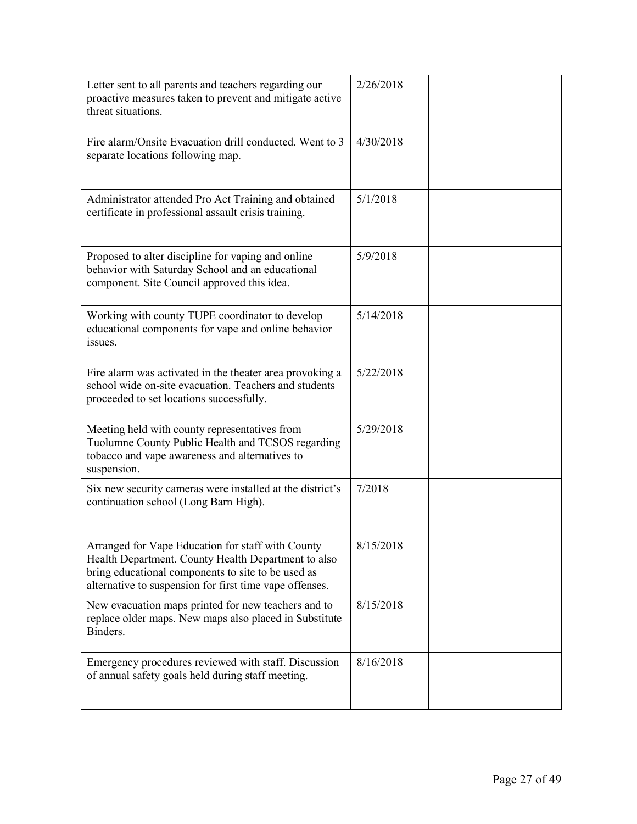| Letter sent to all parents and teachers regarding our<br>proactive measures taken to prevent and mitigate active<br>threat situations.                                                                                    | 2/26/2018 |  |
|---------------------------------------------------------------------------------------------------------------------------------------------------------------------------------------------------------------------------|-----------|--|
| Fire alarm/Onsite Evacuation drill conducted. Went to 3<br>separate locations following map.                                                                                                                              | 4/30/2018 |  |
| Administrator attended Pro Act Training and obtained<br>certificate in professional assault crisis training.                                                                                                              | 5/1/2018  |  |
| Proposed to alter discipline for vaping and online<br>behavior with Saturday School and an educational<br>component. Site Council approved this idea.                                                                     | 5/9/2018  |  |
| Working with county TUPE coordinator to develop<br>educational components for vape and online behavior<br>issues.                                                                                                         | 5/14/2018 |  |
| Fire alarm was activated in the theater area provoking a<br>school wide on-site evacuation. Teachers and students<br>proceeded to set locations successfully.                                                             | 5/22/2018 |  |
| Meeting held with county representatives from<br>Tuolumne County Public Health and TCSOS regarding<br>tobacco and vape awareness and alternatives to<br>suspension.                                                       | 5/29/2018 |  |
| Six new security cameras were installed at the district's<br>continuation school (Long Barn High).                                                                                                                        | 7/2018    |  |
| Arranged for Vape Education for staff with County<br>Health Department. County Health Department to also<br>bring educational components to site to be used as<br>alternative to suspension for first time vape offenses. | 8/15/2018 |  |
| New evacuation maps printed for new teachers and to<br>replace older maps. New maps also placed in Substitute<br>Binders.                                                                                                 | 8/15/2018 |  |
| Emergency procedures reviewed with staff. Discussion<br>of annual safety goals held during staff meeting.                                                                                                                 | 8/16/2018 |  |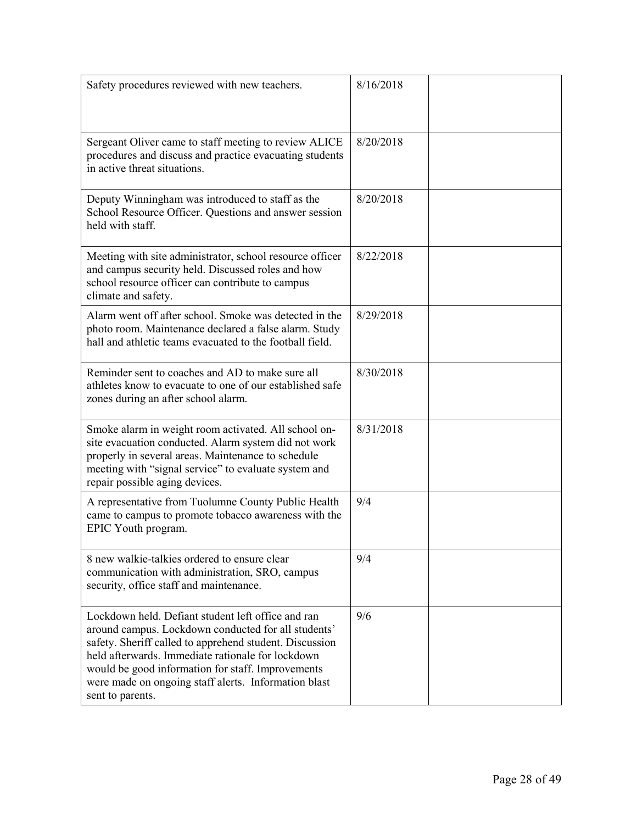| Safety procedures reviewed with new teachers.                                                                                                                                                                                                                                                                                                              | 8/16/2018 |
|------------------------------------------------------------------------------------------------------------------------------------------------------------------------------------------------------------------------------------------------------------------------------------------------------------------------------------------------------------|-----------|
| Sergeant Oliver came to staff meeting to review ALICE<br>procedures and discuss and practice evacuating students<br>in active threat situations.                                                                                                                                                                                                           | 8/20/2018 |
| Deputy Winningham was introduced to staff as the<br>School Resource Officer. Questions and answer session<br>held with staff.                                                                                                                                                                                                                              | 8/20/2018 |
| Meeting with site administrator, school resource officer<br>and campus security held. Discussed roles and how<br>school resource officer can contribute to campus<br>climate and safety.                                                                                                                                                                   | 8/22/2018 |
| Alarm went off after school. Smoke was detected in the<br>photo room. Maintenance declared a false alarm. Study<br>hall and athletic teams evacuated to the football field.                                                                                                                                                                                | 8/29/2018 |
| Reminder sent to coaches and AD to make sure all<br>athletes know to evacuate to one of our established safe<br>zones during an after school alarm.                                                                                                                                                                                                        | 8/30/2018 |
| Smoke alarm in weight room activated. All school on-<br>site evacuation conducted. Alarm system did not work<br>properly in several areas. Maintenance to schedule<br>meeting with "signal service" to evaluate system and<br>repair possible aging devices.                                                                                               | 8/31/2018 |
| A representative from Tuolumne County Public Health<br>came to campus to promote tobacco awareness with the<br>EPIC Youth program.                                                                                                                                                                                                                         | 9/4       |
| 8 new walkie-talkies ordered to ensure clear<br>communication with administration, SRO, campus<br>security, office staff and maintenance.                                                                                                                                                                                                                  | 9/4       |
| Lockdown held. Defiant student left office and ran<br>around campus. Lockdown conducted for all students'<br>safety. Sheriff called to apprehend student. Discussion<br>held afterwards. Immediate rationale for lockdown<br>would be good information for staff. Improvements<br>were made on ongoing staff alerts. Information blast<br>sent to parents. | 9/6       |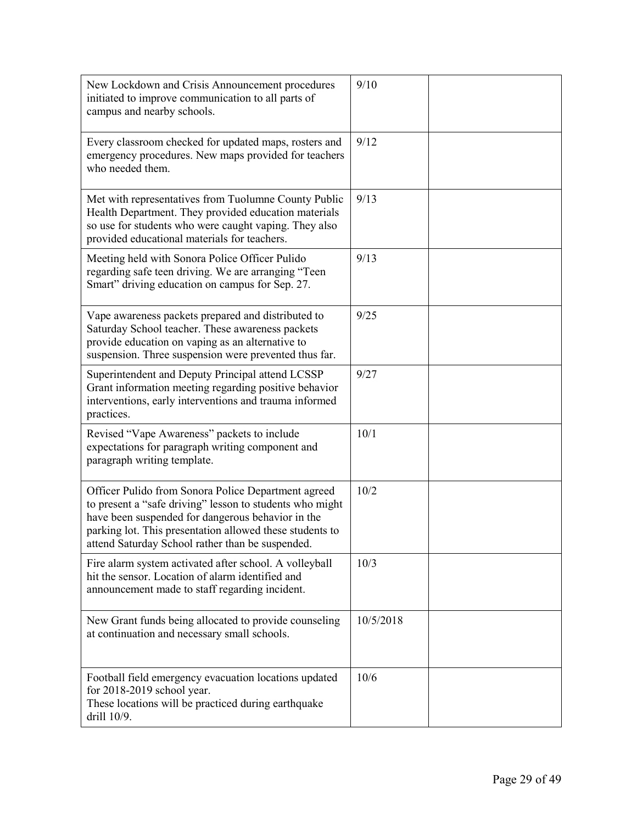| New Lockdown and Crisis Announcement procedures<br>initiated to improve communication to all parts of<br>campus and nearby schools.                                                                                                                                                  | 9/10      |  |
|--------------------------------------------------------------------------------------------------------------------------------------------------------------------------------------------------------------------------------------------------------------------------------------|-----------|--|
| Every classroom checked for updated maps, rosters and<br>emergency procedures. New maps provided for teachers<br>who needed them.                                                                                                                                                    | 9/12      |  |
| Met with representatives from Tuolumne County Public<br>Health Department. They provided education materials<br>so use for students who were caught vaping. They also<br>provided educational materials for teachers.                                                                | 9/13      |  |
| Meeting held with Sonora Police Officer Pulido<br>regarding safe teen driving. We are arranging "Teen<br>Smart" driving education on campus for Sep. 27.                                                                                                                             | 9/13      |  |
| Vape awareness packets prepared and distributed to<br>Saturday School teacher. These awareness packets<br>provide education on vaping as an alternative to<br>suspension. Three suspension were prevented thus far.                                                                  | 9/25      |  |
| Superintendent and Deputy Principal attend LCSSP<br>Grant information meeting regarding positive behavior<br>interventions, early interventions and trauma informed<br>practices.                                                                                                    | 9/27      |  |
| Revised "Vape Awareness" packets to include<br>expectations for paragraph writing component and<br>paragraph writing template.                                                                                                                                                       | 10/1      |  |
| Officer Pulido from Sonora Police Department agreed<br>to present a "safe driving" lesson to students who might<br>have been suspended for dangerous behavior in the<br>parking lot. This presentation allowed these students to<br>attend Saturday School rather than be suspended. | 10/2      |  |
| Fire alarm system activated after school. A volleyball<br>hit the sensor. Location of alarm identified and<br>announcement made to staff regarding incident.                                                                                                                         | 10/3      |  |
| New Grant funds being allocated to provide counseling<br>at continuation and necessary small schools.                                                                                                                                                                                | 10/5/2018 |  |
| Football field emergency evacuation locations updated<br>for 2018-2019 school year.<br>These locations will be practiced during earthquake<br>drill 10/9.                                                                                                                            | 10/6      |  |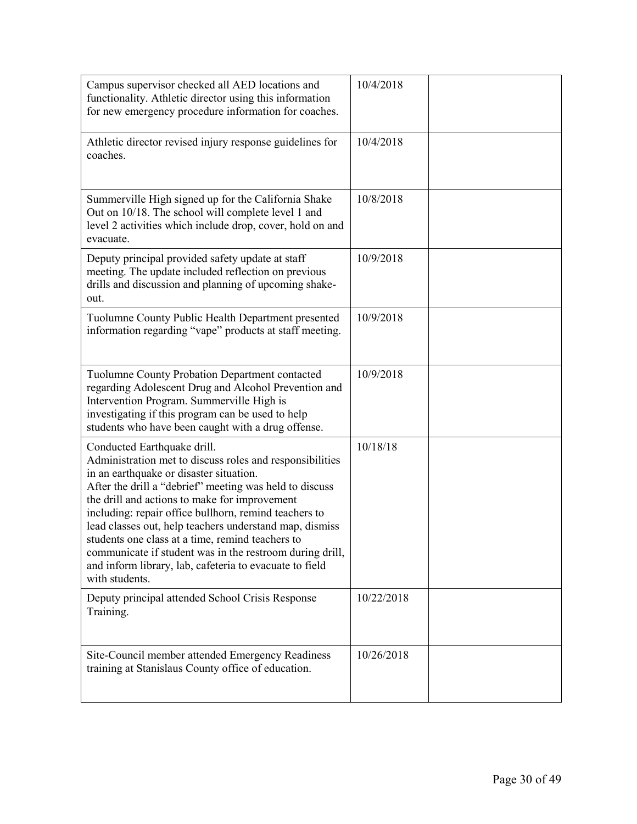| Campus supervisor checked all AED locations and<br>functionality. Athletic director using this information<br>for new emergency procedure information for coaches.                                                                                                                                                                                                                                                                                                                                                                                              | 10/4/2018  |  |
|-----------------------------------------------------------------------------------------------------------------------------------------------------------------------------------------------------------------------------------------------------------------------------------------------------------------------------------------------------------------------------------------------------------------------------------------------------------------------------------------------------------------------------------------------------------------|------------|--|
| Athletic director revised injury response guidelines for<br>coaches.                                                                                                                                                                                                                                                                                                                                                                                                                                                                                            | 10/4/2018  |  |
| Summerville High signed up for the California Shake<br>Out on 10/18. The school will complete level 1 and<br>level 2 activities which include drop, cover, hold on and<br>evacuate.                                                                                                                                                                                                                                                                                                                                                                             | 10/8/2018  |  |
| Deputy principal provided safety update at staff<br>meeting. The update included reflection on previous<br>drills and discussion and planning of upcoming shake-<br>out.                                                                                                                                                                                                                                                                                                                                                                                        | 10/9/2018  |  |
| Tuolumne County Public Health Department presented<br>information regarding "vape" products at staff meeting.                                                                                                                                                                                                                                                                                                                                                                                                                                                   | 10/9/2018  |  |
| Tuolumne County Probation Department contacted<br>regarding Adolescent Drug and Alcohol Prevention and<br>Intervention Program. Summerville High is<br>investigating if this program can be used to help<br>students who have been caught with a drug offense.                                                                                                                                                                                                                                                                                                  | 10/9/2018  |  |
| Conducted Earthquake drill.<br>Administration met to discuss roles and responsibilities<br>in an earthquake or disaster situation.<br>After the drill a "debrief" meeting was held to discuss<br>the drill and actions to make for improvement<br>including: repair office bullhorn, remind teachers to<br>lead classes out, help teachers understand map, dismiss<br>students one class at a time, remind teachers to<br>communicate if student was in the restroom during drill,<br>and inform library, lab, cafeteria to evacuate to field<br>with students. | 10/18/18   |  |
| Deputy principal attended School Crisis Response<br>Training.                                                                                                                                                                                                                                                                                                                                                                                                                                                                                                   | 10/22/2018 |  |
| Site-Council member attended Emergency Readiness<br>training at Stanislaus County office of education.                                                                                                                                                                                                                                                                                                                                                                                                                                                          | 10/26/2018 |  |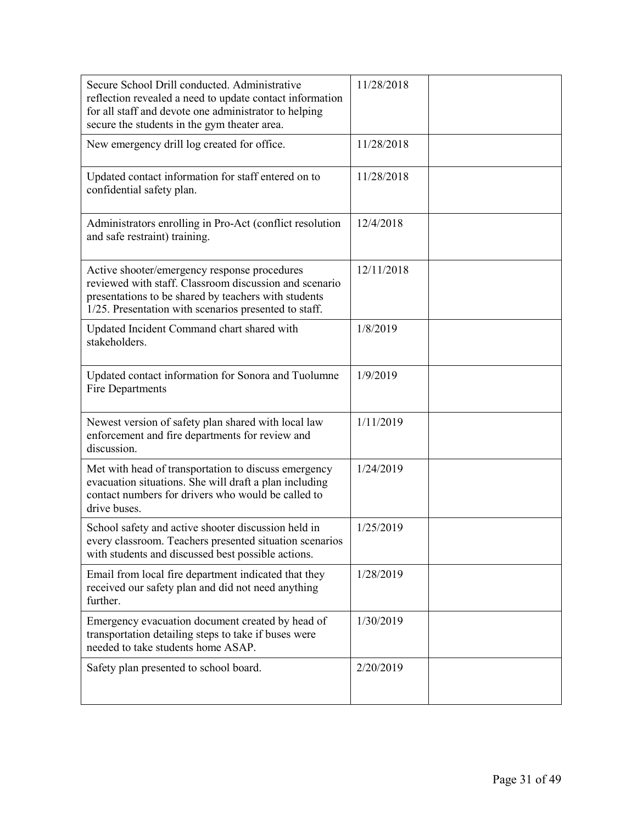| Secure School Drill conducted. Administrative<br>reflection revealed a need to update contact information<br>for all staff and devote one administrator to helping<br>secure the students in the gym theater area.      | 11/28/2018 |
|-------------------------------------------------------------------------------------------------------------------------------------------------------------------------------------------------------------------------|------------|
| New emergency drill log created for office.                                                                                                                                                                             | 11/28/2018 |
| Updated contact information for staff entered on to<br>confidential safety plan.                                                                                                                                        | 11/28/2018 |
| Administrators enrolling in Pro-Act (conflict resolution<br>and safe restraint) training.                                                                                                                               | 12/4/2018  |
| Active shooter/emergency response procedures<br>reviewed with staff. Classroom discussion and scenario<br>presentations to be shared by teachers with students<br>1/25. Presentation with scenarios presented to staff. | 12/11/2018 |
| Updated Incident Command chart shared with<br>stakeholders.                                                                                                                                                             | 1/8/2019   |
| Updated contact information for Sonora and Tuolumne<br>Fire Departments                                                                                                                                                 | 1/9/2019   |
| Newest version of safety plan shared with local law<br>enforcement and fire departments for review and<br>discussion.                                                                                                   | 1/11/2019  |
| Met with head of transportation to discuss emergency<br>evacuation situations. She will draft a plan including<br>contact numbers for drivers who would be called to<br>drive buses.                                    | 1/24/2019  |
| School safety and active shooter discussion held in<br>every classroom. Teachers presented situation scenarios<br>with students and discussed best possible actions.                                                    | 1/25/2019  |
| Email from local fire department indicated that they<br>received our safety plan and did not need anything<br>further.                                                                                                  | 1/28/2019  |
| Emergency evacuation document created by head of<br>transportation detailing steps to take if buses were<br>needed to take students home ASAP.                                                                          | 1/30/2019  |
| Safety plan presented to school board.                                                                                                                                                                                  | 2/20/2019  |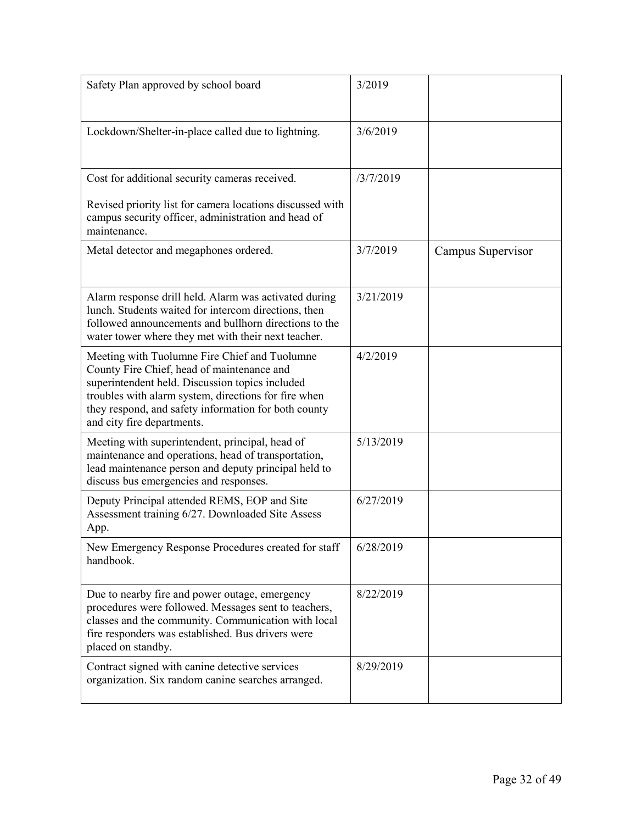| Safety Plan approved by school board                                                                                                                                                                                                                                                         | 3/2019    |                   |
|----------------------------------------------------------------------------------------------------------------------------------------------------------------------------------------------------------------------------------------------------------------------------------------------|-----------|-------------------|
| Lockdown/Shelter-in-place called due to lightning.                                                                                                                                                                                                                                           | 3/6/2019  |                   |
| Cost for additional security cameras received.<br>Revised priority list for camera locations discussed with<br>campus security officer, administration and head of<br>maintenance.                                                                                                           | /3/7/2019 |                   |
| Metal detector and megaphones ordered.                                                                                                                                                                                                                                                       | 3/7/2019  | Campus Supervisor |
| Alarm response drill held. Alarm was activated during<br>lunch. Students waited for intercom directions, then<br>followed announcements and bullhorn directions to the<br>water tower where they met with their next teacher.                                                                | 3/21/2019 |                   |
| Meeting with Tuolumne Fire Chief and Tuolumne<br>County Fire Chief, head of maintenance and<br>superintendent held. Discussion topics included<br>troubles with alarm system, directions for fire when<br>they respond, and safety information for both county<br>and city fire departments. | 4/2/2019  |                   |
| Meeting with superintendent, principal, head of<br>maintenance and operations, head of transportation,<br>lead maintenance person and deputy principal held to<br>discuss bus emergencies and responses.                                                                                     | 5/13/2019 |                   |
| Deputy Principal attended REMS, EOP and Site<br>Assessment training 6/27. Downloaded Site Assess<br>App.                                                                                                                                                                                     | 6/27/2019 |                   |
| New Emergency Response Procedures created for staff<br>handbook.                                                                                                                                                                                                                             | 6/28/2019 |                   |
| Due to nearby fire and power outage, emergency<br>procedures were followed. Messages sent to teachers,<br>classes and the community. Communication with local<br>fire responders was established. Bus drivers were<br>placed on standby.                                                     | 8/22/2019 |                   |
| Contract signed with canine detective services<br>organization. Six random canine searches arranged.                                                                                                                                                                                         | 8/29/2019 |                   |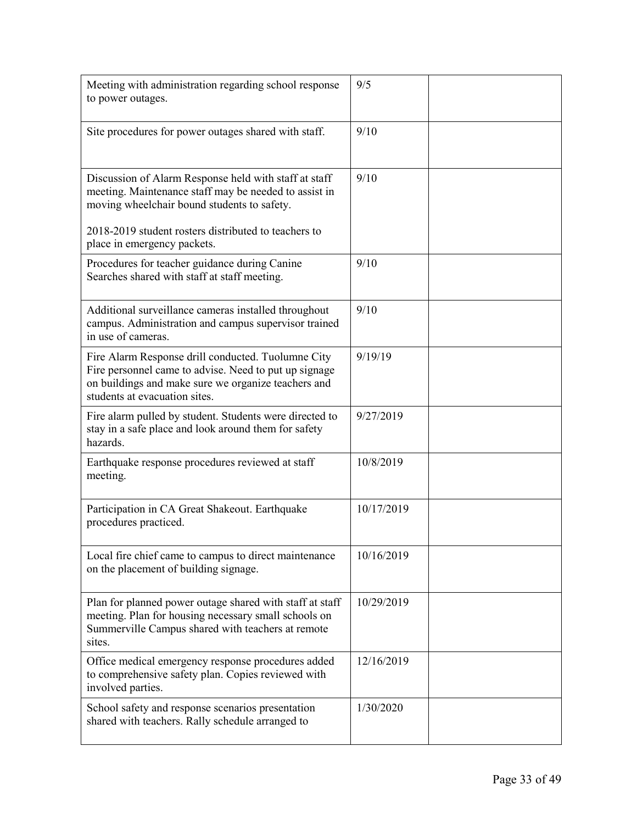| Meeting with administration regarding school response<br>to power outages.                                                                                                                                            | 9/5        |  |
|-----------------------------------------------------------------------------------------------------------------------------------------------------------------------------------------------------------------------|------------|--|
| Site procedures for power outages shared with staff.                                                                                                                                                                  | 9/10       |  |
| Discussion of Alarm Response held with staff at staff<br>meeting. Maintenance staff may be needed to assist in<br>moving wheelchair bound students to safety.<br>2018-2019 student rosters distributed to teachers to | 9/10       |  |
| place in emergency packets.                                                                                                                                                                                           |            |  |
| Procedures for teacher guidance during Canine<br>Searches shared with staff at staff meeting.                                                                                                                         | 9/10       |  |
| Additional surveillance cameras installed throughout<br>campus. Administration and campus supervisor trained<br>in use of cameras.                                                                                    | 9/10       |  |
| Fire Alarm Response drill conducted. Tuolumne City<br>Fire personnel came to advise. Need to put up signage<br>on buildings and make sure we organize teachers and<br>students at evacuation sites.                   | 9/19/19    |  |
| Fire alarm pulled by student. Students were directed to<br>stay in a safe place and look around them for safety<br>hazards.                                                                                           | 9/27/2019  |  |
| Earthquake response procedures reviewed at staff<br>meeting.                                                                                                                                                          | 10/8/2019  |  |
| Participation in CA Great Shakeout. Earthquake<br>procedures practiced.                                                                                                                                               | 10/17/2019 |  |
| Local fire chief came to campus to direct maintenance<br>on the placement of building signage.                                                                                                                        | 10/16/2019 |  |
| Plan for planned power outage shared with staff at staff<br>meeting. Plan for housing necessary small schools on<br>Summerville Campus shared with teachers at remote<br>sites.                                       | 10/29/2019 |  |
| Office medical emergency response procedures added<br>to comprehensive safety plan. Copies reviewed with<br>involved parties.                                                                                         | 12/16/2019 |  |
| School safety and response scenarios presentation<br>shared with teachers. Rally schedule arranged to                                                                                                                 | 1/30/2020  |  |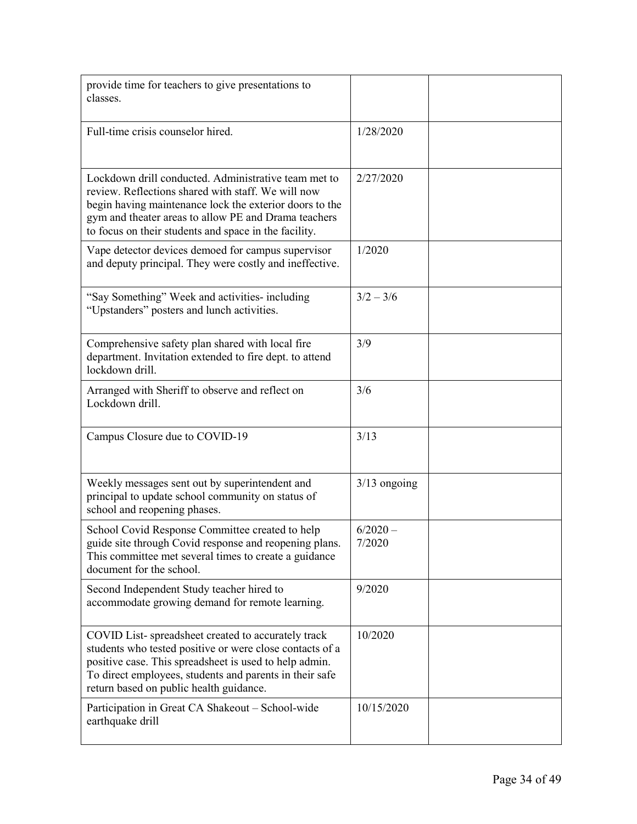| provide time for teachers to give presentations to<br>classes.                                                                                                                                                                                                                         |                      |
|----------------------------------------------------------------------------------------------------------------------------------------------------------------------------------------------------------------------------------------------------------------------------------------|----------------------|
| Full-time crisis counselor hired.                                                                                                                                                                                                                                                      | 1/28/2020            |
| Lockdown drill conducted. Administrative team met to<br>review. Reflections shared with staff. We will now<br>begin having maintenance lock the exterior doors to the<br>gym and theater areas to allow PE and Drama teachers<br>to focus on their students and space in the facility. | 2/27/2020            |
| Vape detector devices demoed for campus supervisor<br>and deputy principal. They were costly and ineffective.                                                                                                                                                                          | 1/2020               |
| "Say Something" Week and activities- including<br>"Upstanders" posters and lunch activities.                                                                                                                                                                                           | $3/2 - 3/6$          |
| Comprehensive safety plan shared with local fire<br>department. Invitation extended to fire dept. to attend<br>lockdown drill.                                                                                                                                                         | 3/9                  |
| Arranged with Sheriff to observe and reflect on<br>Lockdown drill.                                                                                                                                                                                                                     | 3/6                  |
| Campus Closure due to COVID-19                                                                                                                                                                                                                                                         | 3/13                 |
| Weekly messages sent out by superintendent and<br>principal to update school community on status of<br>school and reopening phases.                                                                                                                                                    | $3/13$ ongoing       |
| School Covid Response Committee created to help<br>guide site through Covid response and reopening plans.<br>This committee met several times to create a guidance<br>document for the school.                                                                                         | $6/2020 -$<br>7/2020 |
| Second Independent Study teacher hired to<br>accommodate growing demand for remote learning.                                                                                                                                                                                           | 9/2020               |
| COVID List-spreadsheet created to accurately track<br>students who tested positive or were close contacts of a<br>positive case. This spreadsheet is used to help admin.<br>To direct employees, students and parents in their safe<br>return based on public health guidance.         | 10/2020              |
| Participation in Great CA Shakeout - School-wide<br>earthquake drill                                                                                                                                                                                                                   | 10/15/2020           |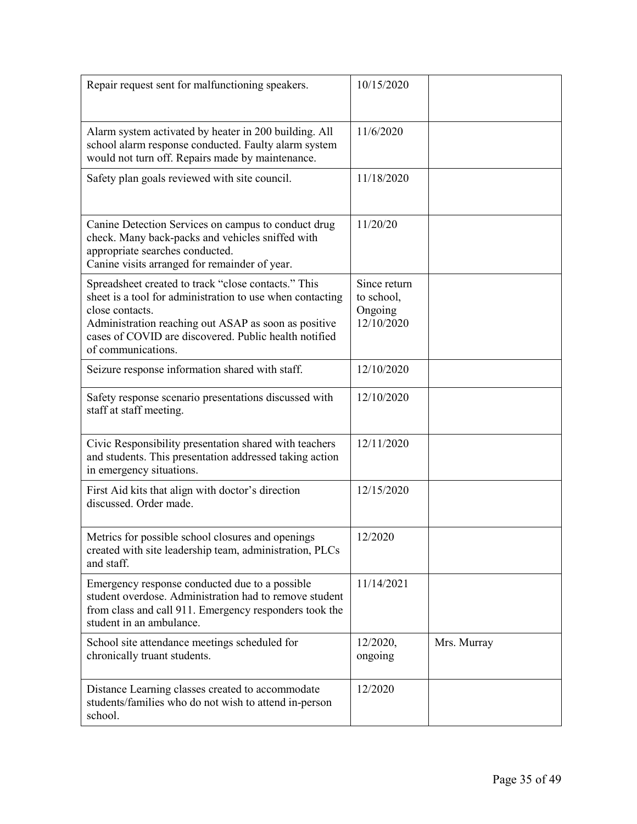| Repair request sent for malfunctioning speakers.                                                                                                                                                                                                                           | 10/15/2020                                          |             |
|----------------------------------------------------------------------------------------------------------------------------------------------------------------------------------------------------------------------------------------------------------------------------|-----------------------------------------------------|-------------|
| Alarm system activated by heater in 200 building. All<br>school alarm response conducted. Faulty alarm system<br>would not turn off. Repairs made by maintenance.                                                                                                          | 11/6/2020                                           |             |
| Safety plan goals reviewed with site council.                                                                                                                                                                                                                              | 11/18/2020                                          |             |
| Canine Detection Services on campus to conduct drug<br>check. Many back-packs and vehicles sniffed with<br>appropriate searches conducted.<br>Canine visits arranged for remainder of year.                                                                                | 11/20/20                                            |             |
| Spreadsheet created to track "close contacts." This<br>sheet is a tool for administration to use when contacting<br>close contacts.<br>Administration reaching out ASAP as soon as positive<br>cases of COVID are discovered. Public health notified<br>of communications. | Since return<br>to school,<br>Ongoing<br>12/10/2020 |             |
| Seizure response information shared with staff.                                                                                                                                                                                                                            | 12/10/2020                                          |             |
| Safety response scenario presentations discussed with<br>staff at staff meeting.                                                                                                                                                                                           | 12/10/2020                                          |             |
| Civic Responsibility presentation shared with teachers<br>and students. This presentation addressed taking action<br>in emergency situations.                                                                                                                              | 12/11/2020                                          |             |
| First Aid kits that align with doctor's direction<br>discussed. Order made.                                                                                                                                                                                                | 12/15/2020                                          |             |
| Metrics for possible school closures and openings<br>created with site leadership team, administration, PLCs<br>and staff.                                                                                                                                                 | 12/2020                                             |             |
| Emergency response conducted due to a possible<br>student overdose. Administration had to remove student<br>from class and call 911. Emergency responders took the<br>student in an ambulance.                                                                             | 11/14/2021                                          |             |
| School site attendance meetings scheduled for<br>chronically truant students.                                                                                                                                                                                              | 12/2020,<br>ongoing                                 | Mrs. Murray |
| Distance Learning classes created to accommodate<br>students/families who do not wish to attend in-person<br>school.                                                                                                                                                       | 12/2020                                             |             |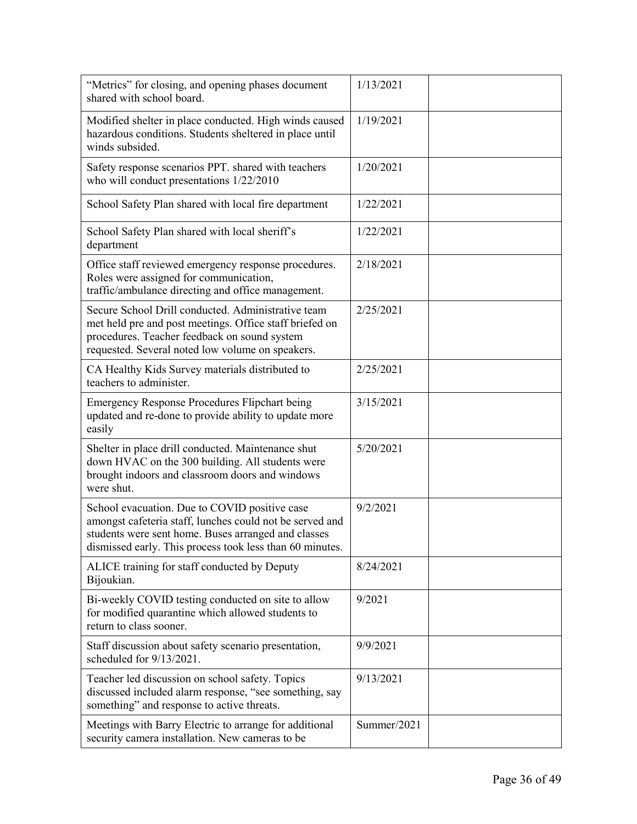| "Metrics" for closing, and opening phases document<br>shared with school board.                                                                                                                                              | 1/13/2021   |  |
|------------------------------------------------------------------------------------------------------------------------------------------------------------------------------------------------------------------------------|-------------|--|
| Modified shelter in place conducted. High winds caused<br>hazardous conditions. Students sheltered in place until<br>winds subsided.                                                                                         | 1/19/2021   |  |
| Safety response scenarios PPT. shared with teachers<br>who will conduct presentations 1/22/2010                                                                                                                              | 1/20/2021   |  |
| School Safety Plan shared with local fire department                                                                                                                                                                         | 1/22/2021   |  |
| School Safety Plan shared with local sheriff's<br>department                                                                                                                                                                 | 1/22/2021   |  |
| Office staff reviewed emergency response procedures.<br>Roles were assigned for communication,<br>traffic/ambulance directing and office management.                                                                         | 2/18/2021   |  |
| Secure School Drill conducted. Administrative team<br>met held pre and post meetings. Office staff briefed on<br>procedures. Teacher feedback on sound system<br>requested. Several noted low volume on speakers.            | 2/25/2021   |  |
| CA Healthy Kids Survey materials distributed to<br>teachers to administer.                                                                                                                                                   | 2/25/2021   |  |
| <b>Emergency Response Procedures Flipchart being</b><br>updated and re-done to provide ability to update more<br>easily                                                                                                      | 3/15/2021   |  |
| Shelter in place drill conducted. Maintenance shut<br>down HVAC on the 300 building. All students were<br>brought indoors and classroom doors and windows<br>were shut.                                                      | 5/20/2021   |  |
| School evacuation. Due to COVID positive case<br>amongst cafeteria staff, lunches could not be served and<br>students were sent home. Buses arranged and classes<br>dismissed early. This process took less than 60 minutes. | 9/2/2021    |  |
| ALICE training for staff conducted by Deputy<br>Bijoukian.                                                                                                                                                                   | 8/24/2021   |  |
| Bi-weekly COVID testing conducted on site to allow<br>for modified quarantine which allowed students to<br>return to class sooner.                                                                                           | 9/2021      |  |
| Staff discussion about safety scenario presentation,<br>scheduled for 9/13/2021.                                                                                                                                             | 9/9/2021    |  |
| Teacher led discussion on school safety. Topics<br>discussed included alarm response, "see something, say<br>something" and response to active threats.                                                                      | 9/13/2021   |  |
| Meetings with Barry Electric to arrange for additional<br>security camera installation. New cameras to be                                                                                                                    | Summer/2021 |  |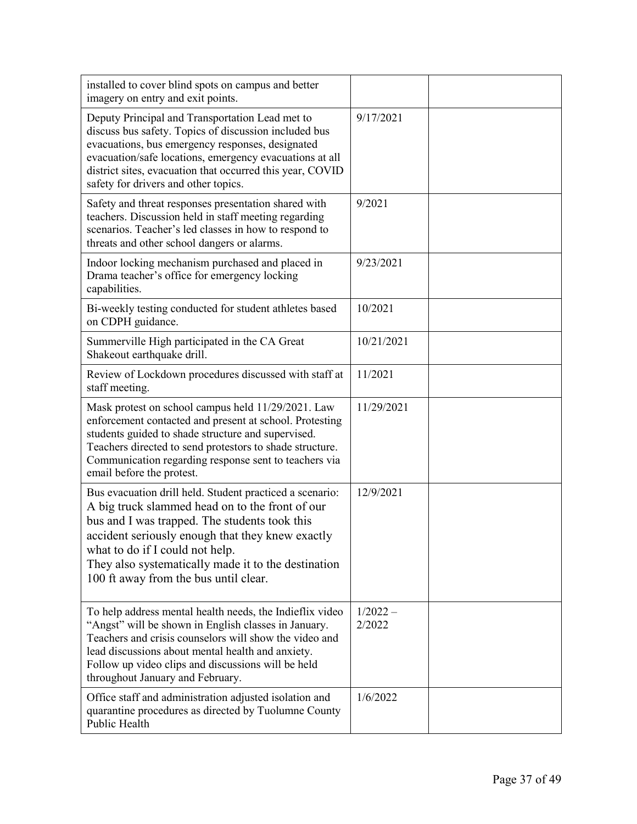| installed to cover blind spots on campus and better<br>imagery on entry and exit points.                                                                                                                                                                                                                                                            |                      |
|-----------------------------------------------------------------------------------------------------------------------------------------------------------------------------------------------------------------------------------------------------------------------------------------------------------------------------------------------------|----------------------|
| Deputy Principal and Transportation Lead met to<br>discuss bus safety. Topics of discussion included bus<br>evacuations, bus emergency responses, designated<br>evacuation/safe locations, emergency evacuations at all<br>district sites, evacuation that occurred this year, COVID<br>safety for drivers and other topics.                        | 9/17/2021            |
| Safety and threat responses presentation shared with<br>teachers. Discussion held in staff meeting regarding<br>scenarios. Teacher's led classes in how to respond to<br>threats and other school dangers or alarms.                                                                                                                                | 9/2021               |
| Indoor locking mechanism purchased and placed in<br>Drama teacher's office for emergency locking<br>capabilities.                                                                                                                                                                                                                                   | 9/23/2021            |
| Bi-weekly testing conducted for student athletes based<br>on CDPH guidance.                                                                                                                                                                                                                                                                         | 10/2021              |
| Summerville High participated in the CA Great<br>Shakeout earthquake drill.                                                                                                                                                                                                                                                                         | 10/21/2021           |
| Review of Lockdown procedures discussed with staff at<br>staff meeting.                                                                                                                                                                                                                                                                             | 11/2021              |
| Mask protest on school campus held 11/29/2021. Law<br>enforcement contacted and present at school. Protesting<br>students guided to shade structure and supervised.<br>Teachers directed to send protestors to shade structure.<br>Communication regarding response sent to teachers via<br>email before the protest.                               | 11/29/2021           |
| Bus evacuation drill held. Student practiced a scenario:<br>A big truck slammed head on to the front of our<br>bus and I was trapped. The students took this<br>accident seriously enough that they knew exactly<br>what to do if I could not help.<br>They also systematically made it to the destination<br>100 ft away from the bus until clear. | 12/9/2021            |
| To help address mental health needs, the Indieflix video<br>"Angst" will be shown in English classes in January.<br>Teachers and crisis counselors will show the video and<br>lead discussions about mental health and anxiety.<br>Follow up video clips and discussions will be held<br>throughout January and February.                           | $1/2022 -$<br>2/2022 |
| Office staff and administration adjusted isolation and<br>quarantine procedures as directed by Tuolumne County<br>Public Health                                                                                                                                                                                                                     | 1/6/2022             |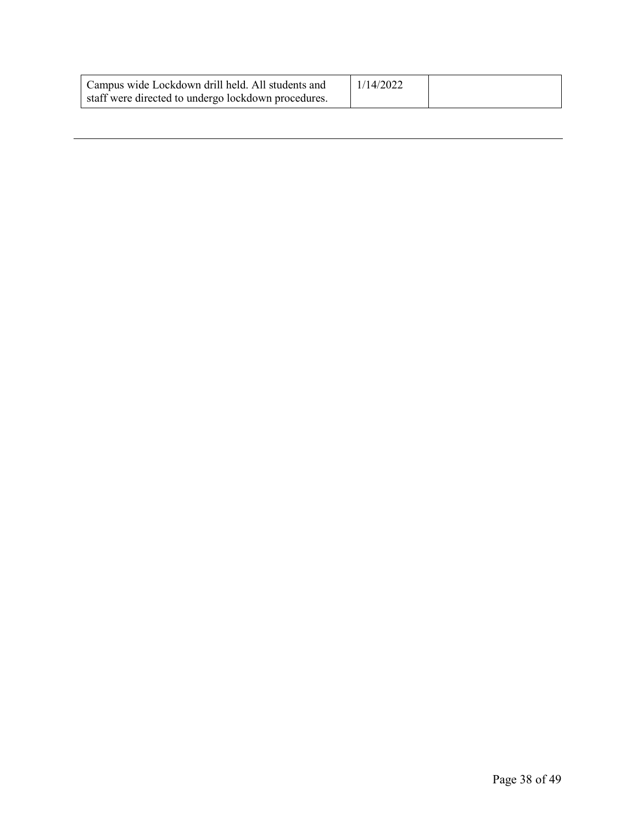| Campus wide Lockdown drill held. All students and   | 1/14/2022 |  |
|-----------------------------------------------------|-----------|--|
| staff were directed to undergo lockdown procedures. |           |  |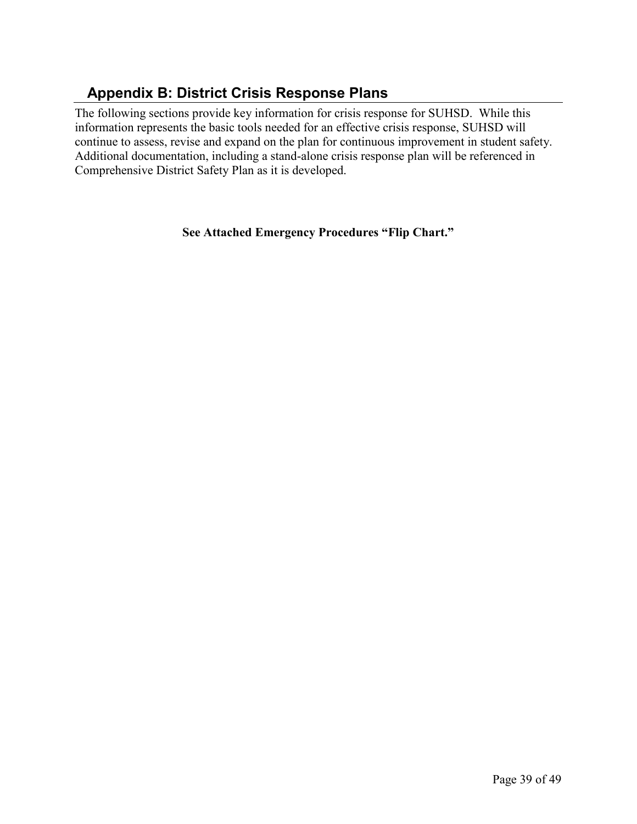# <span id="page-38-0"></span> **Appendix B: District Crisis Response Plans**

The following sections provide key information for crisis response for SUHSD. While this information represents the basic tools needed for an effective crisis response, SUHSD will continue to assess, revise and expand on the plan for continuous improvement in student safety. Additional documentation, including a stand-alone crisis response plan will be referenced in Comprehensive District Safety Plan as it is developed.

**See Attached Emergency Procedures "Flip Chart."**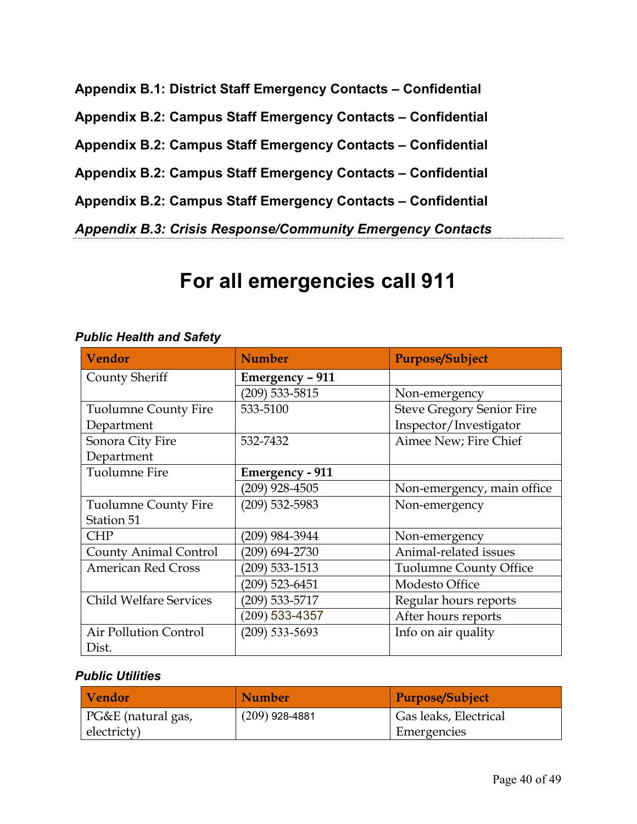<span id="page-39-4"></span><span id="page-39-3"></span><span id="page-39-2"></span><span id="page-39-1"></span><span id="page-39-0"></span>**Appendix B.1: District Staff Emergency Contacts – Confidential Appendix B.2: Campus Staff Emergency Contacts – Confidential Appendix B.2: Campus Staff Emergency Contacts – Confidential Appendix B.2: Campus Staff Emergency Contacts – Confidential Appendix B.2: Campus Staff Emergency Contacts – Confidential** *Appendix B.3: Crisis Response/Community Emergency Contacts*

# **For all emergencies call 911**

| <b>Vendor</b>                 | <b>Number</b>          | <b>Purpose/Subject</b>           |
|-------------------------------|------------------------|----------------------------------|
| <b>County Sheriff</b>         | Emergency - 911        |                                  |
|                               | $(209)$ 533-5815       | Non-emergency                    |
| <b>Tuolumne County Fire</b>   | 533-5100               | <b>Steve Gregory Senior Fire</b> |
| Department                    |                        | Inspector/Investigator           |
| Sonora City Fire              | 532-7432               | Aimee New; Fire Chief            |
| Department                    |                        |                                  |
| <b>Tuolumne Fire</b>          | <b>Emergency - 911</b> |                                  |
|                               | $(209)$ 928-4505       | Non-emergency, main office       |
| <b>Tuolumne County Fire</b>   | $(209)$ 532-5983       | Non-emergency                    |
| Station 51                    |                        |                                  |
| <b>CHP</b>                    | (209) 984-3944         | Non-emergency                    |
| <b>County Animal Control</b>  | 209) 694-2730          | Animal-related issues            |
| <b>American Red Cross</b>     | $(209)$ 533-1513       | <b>Tuolumne County Office</b>    |
|                               | (209) 523-6451         | Modesto Office                   |
| <b>Child Welfare Services</b> | (209) 533-5717         | Regular hours reports            |
|                               | $(209)$ 533-4357       | After hours reports              |
| <b>Air Pollution Control</b>  | $(209)$ 533-5693       | Info on air quality              |
| Dist.                         |                        |                                  |

### <span id="page-39-5"></span>*Public Health and Safety*

### *Public Utilities*

| Vendor             | <b>Number</b>    | Purpose/Subject       |
|--------------------|------------------|-----------------------|
| PG&E (natural gas, | $(209)$ 928-4881 | Gas leaks, Electrical |
| electricty)        |                  | Emergencies           |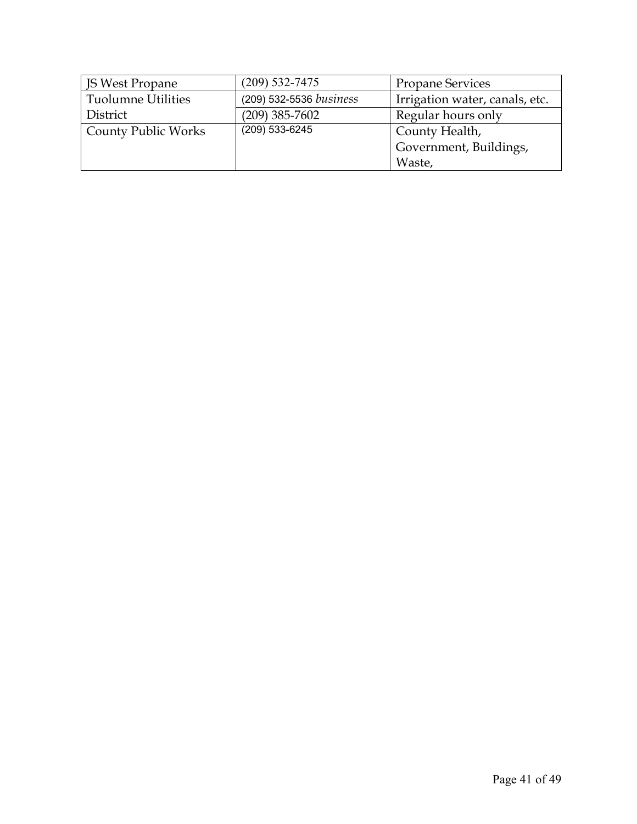| <b>JS West Propane</b>     | $(209)$ 532-7475        | <b>Propane Services</b>        |
|----------------------------|-------------------------|--------------------------------|
| <b>Tuolumne Utilities</b>  | (209) 532-5536 business | Irrigation water, canals, etc. |
| District                   | $(209)$ 385-7602        | Regular hours only             |
| <b>County Public Works</b> | (209) 533-6245          | County Health,                 |
|                            |                         | Government, Buildings,         |
|                            |                         | Waste,                         |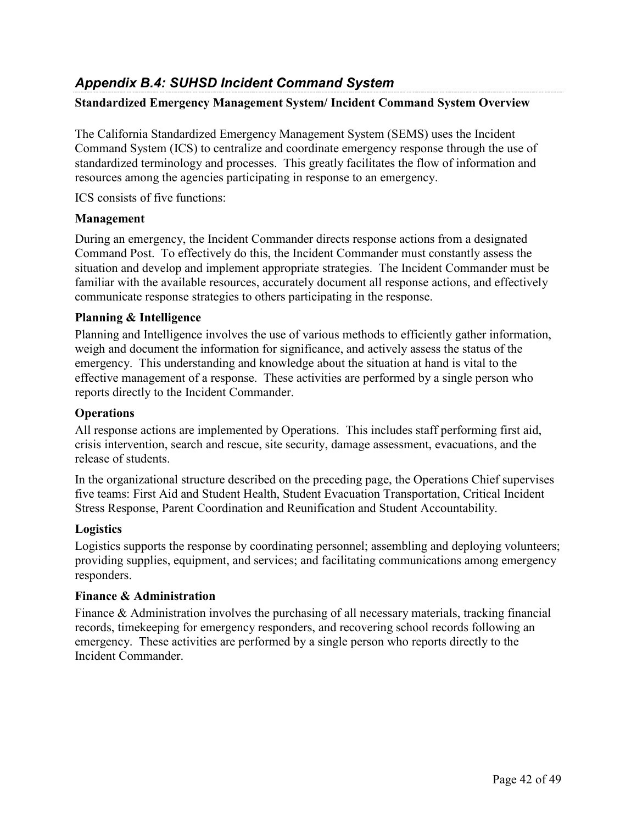# <span id="page-41-0"></span>*Appendix B.4: SUHSD Incident Command System*

### **Standardized Emergency Management System/ Incident Command System Overview**

The California Standardized Emergency Management System (SEMS) uses the Incident Command System (ICS) to centralize and coordinate emergency response through the use of standardized terminology and processes. This greatly facilitates the flow of information and resources among the agencies participating in response to an emergency.

ICS consists of five functions:

### **Management**

During an emergency, the Incident Commander directs response actions from a designated Command Post. To effectively do this, the Incident Commander must constantly assess the situation and develop and implement appropriate strategies. The Incident Commander must be familiar with the available resources, accurately document all response actions, and effectively communicate response strategies to others participating in the response.

### **Planning & Intelligence**

Planning and Intelligence involves the use of various methods to efficiently gather information, weigh and document the information for significance, and actively assess the status of the emergency. This understanding and knowledge about the situation at hand is vital to the effective management of a response. These activities are performed by a single person who reports directly to the Incident Commander.

### **Operations**

All response actions are implemented by Operations. This includes staff performing first aid, crisis intervention, search and rescue, site security, damage assessment, evacuations, and the release of students.

In the organizational structure described on the preceding page, the Operations Chief supervises five teams: First Aid and Student Health, Student Evacuation Transportation, Critical Incident Stress Response, Parent Coordination and Reunification and Student Accountability.

### **Logistics**

Logistics supports the response by coordinating personnel; assembling and deploying volunteers; providing supplies, equipment, and services; and facilitating communications among emergency responders.

### **Finance & Administration**

Finance & Administration involves the purchasing of all necessary materials, tracking financial records, timekeeping for emergency responders, and recovering school records following an emergency. These activities are performed by a single person who reports directly to the Incident Commander.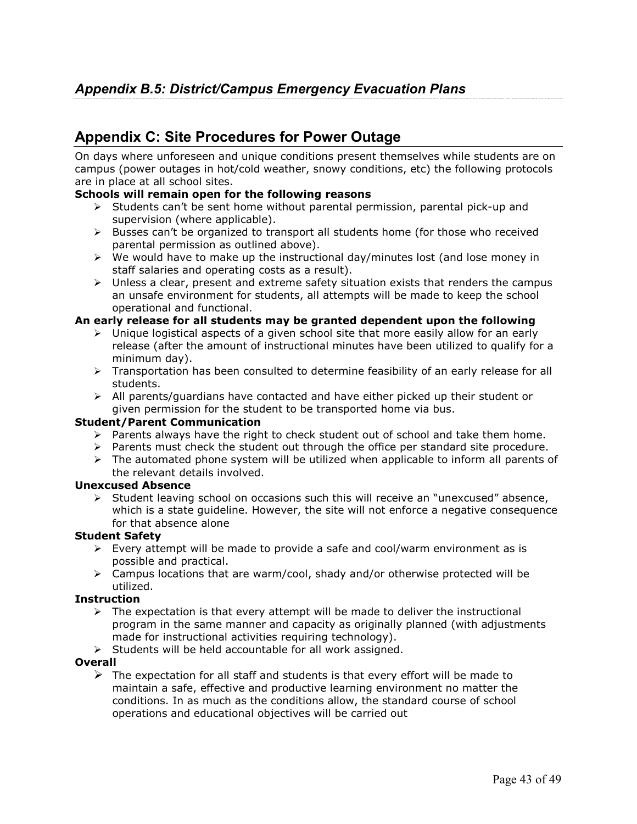# <span id="page-42-1"></span><span id="page-42-0"></span>**Appendix C: Site Procedures for Power Outage**

On days where unforeseen and unique conditions present themselves while students are on campus (power outages in hot/cold weather, snowy conditions, etc) the following protocols are in place at all school sites.

### **Schools will remain open for the following reasons**

- $\triangleright$  Students can't be sent home without parental permission, parental pick-up and supervision (where applicable).
- $\triangleright$  Busses can't be organized to transport all students home (for those who received parental permission as outlined above).
- $\triangleright$  We would have to make up the instructional day/minutes lost (and lose money in staff salaries and operating costs as a result).
- $\triangleright$  Unless a clear, present and extreme safety situation exists that renders the campus an unsafe environment for students, all attempts will be made to keep the school operational and functional.

### **An early release for all students may be granted dependent upon the following**

- $\triangleright$  Unique logistical aspects of a given school site that more easily allow for an early release (after the amount of instructional minutes have been utilized to qualify for a minimum day).
- > Transportation has been consulted to determine feasibility of an early release for all students.
- $\triangleright$  All parents/guardians have contacted and have either picked up their student or given permission for the student to be transported home via bus.

### **Student/Parent Communication**

- $\triangleright$  Parents always have the right to check student out of school and take them home.
- $\triangleright$  Parents must check the student out through the office per standard site procedure.
- $\triangleright$  The automated phone system will be utilized when applicable to inform all parents of the relevant details involved.

### **Unexcused Absence**

 $\triangleright$  Student leaving school on occasions such this will receive an "unexcused" absence, which is a state guideline. However, the site will not enforce a negative consequence for that absence alone

### **Student Safety**

- $\triangleright$  Every attempt will be made to provide a safe and cool/warm environment as is possible and practical.
- $\triangleright$  Campus locations that are warm/cool, shady and/or otherwise protected will be utilized.

### **Instruction**

- $\triangleright$  The expectation is that every attempt will be made to deliver the instructional program in the same manner and capacity as originally planned (with adjustments made for instructional activities requiring technology).
- $\triangleright$  Students will be held accountable for all work assigned.

### **Overall**

 $\triangleright$  The expectation for all staff and students is that every effort will be made to maintain a safe, effective and productive learning environment no matter the conditions. In as much as the conditions allow, the standard course of school operations and educational objectives will be carried out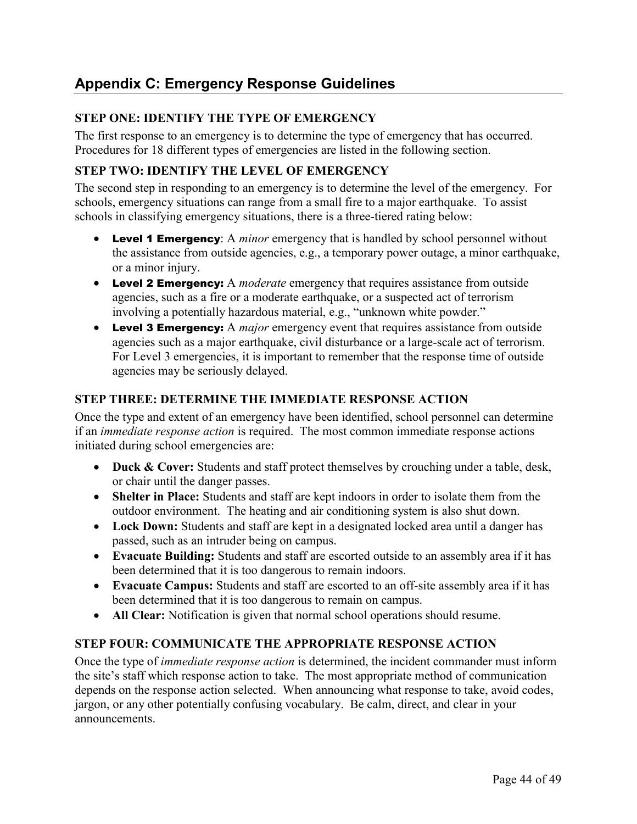# <span id="page-43-0"></span>**Appendix C: Emergency Response Guidelines**

### **STEP ONE: IDENTIFY THE TYPE OF EMERGENCY**

The first response to an emergency is to determine the type of emergency that has occurred. Procedures for 18 different types of emergencies are listed in the following section.

### **STEP TWO: IDENTIFY THE LEVEL OF EMERGENCY**

The second step in responding to an emergency is to determine the level of the emergency. For schools, emergency situations can range from a small fire to a major earthquake. To assist schools in classifying emergency situations, there is a three-tiered rating below:

- **Level 1 Emergency:** A *minor* emergency that is handled by school personnel without the assistance from outside agencies, e.g., a temporary power outage, a minor earthquake, or a minor injury.
- Level 2 Emergency: A *moderate* emergency that requires assistance from outside agencies, such as a fire or a moderate earthquake, or a suspected act of terrorism involving a potentially hazardous material, e.g., "unknown white powder."
- Level 3 Emergency: A *major* emergency event that requires assistance from outside agencies such as a major earthquake, civil disturbance or a large-scale act of terrorism. For Level 3 emergencies, it is important to remember that the response time of outside agencies may be seriously delayed.

### **STEP THREE: DETERMINE THE IMMEDIATE RESPONSE ACTION**

Once the type and extent of an emergency have been identified, school personnel can determine if an *immediate response action* is required. The most common immediate response actions initiated during school emergencies are:

- **Duck & Cover:** Students and staff protect themselves by crouching under a table, desk, or chair until the danger passes.
- **Shelter in Place:** Students and staff are kept indoors in order to isolate them from the outdoor environment. The heating and air conditioning system is also shut down.
- **Lock Down:** Students and staff are kept in a designated locked area until a danger has passed, such as an intruder being on campus.
- **Evacuate Building:** Students and staff are escorted outside to an assembly area if it has been determined that it is too dangerous to remain indoors.
- **Evacuate Campus:** Students and staff are escorted to an off-site assembly area if it has been determined that it is too dangerous to remain on campus.
- **All Clear:** Notification is given that normal school operations should resume.

### **STEP FOUR: COMMUNICATE THE APPROPRIATE RESPONSE ACTION**

Once the type of *immediate response action* is determined, the incident commander must inform the site's staff which response action to take. The most appropriate method of communication depends on the response action selected. When announcing what response to take, avoid codes, jargon, or any other potentially confusing vocabulary. Be calm, direct, and clear in your announcements.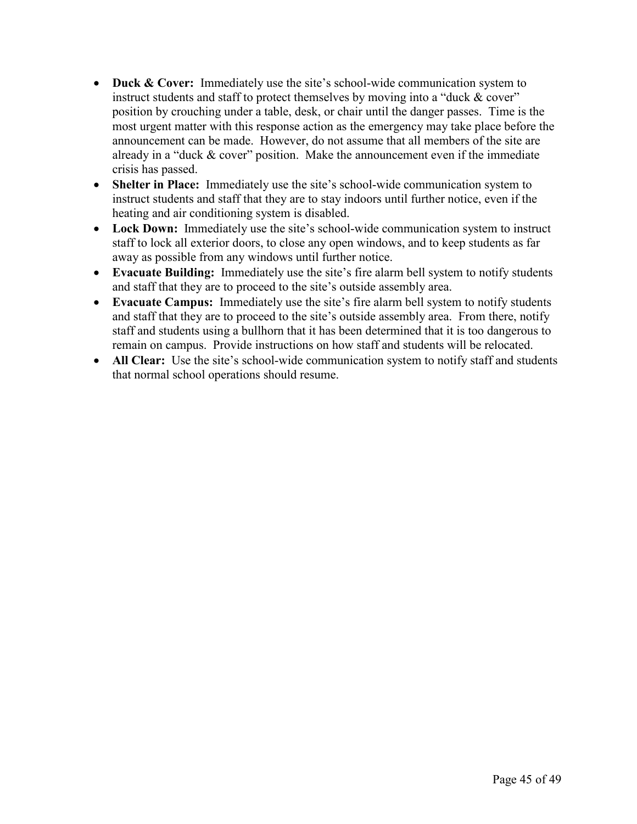- **Duck & Cover:** Immediately use the site's school-wide communication system to instruct students and staff to protect themselves by moving into a "duck & cover" position by crouching under a table, desk, or chair until the danger passes. Time is the most urgent matter with this response action as the emergency may take place before the announcement can be made. However, do not assume that all members of the site are already in a "duck & cover" position. Make the announcement even if the immediate crisis has passed.
- **Shelter in Place:** Immediately use the site's school-wide communication system to instruct students and staff that they are to stay indoors until further notice, even if the heating and air conditioning system is disabled.
- **Lock Down:** Immediately use the site's school-wide communication system to instruct staff to lock all exterior doors, to close any open windows, and to keep students as far away as possible from any windows until further notice.
- **Evacuate Building:** Immediately use the site's fire alarm bell system to notify students and staff that they are to proceed to the site's outside assembly area.
- **Evacuate Campus:** Immediately use the site's fire alarm bell system to notify students and staff that they are to proceed to the site's outside assembly area. From there, notify staff and students using a bullhorn that it has been determined that it is too dangerous to remain on campus. Provide instructions on how staff and students will be relocated.
- **All Clear:** Use the site's school-wide communication system to notify staff and students that normal school operations should resume.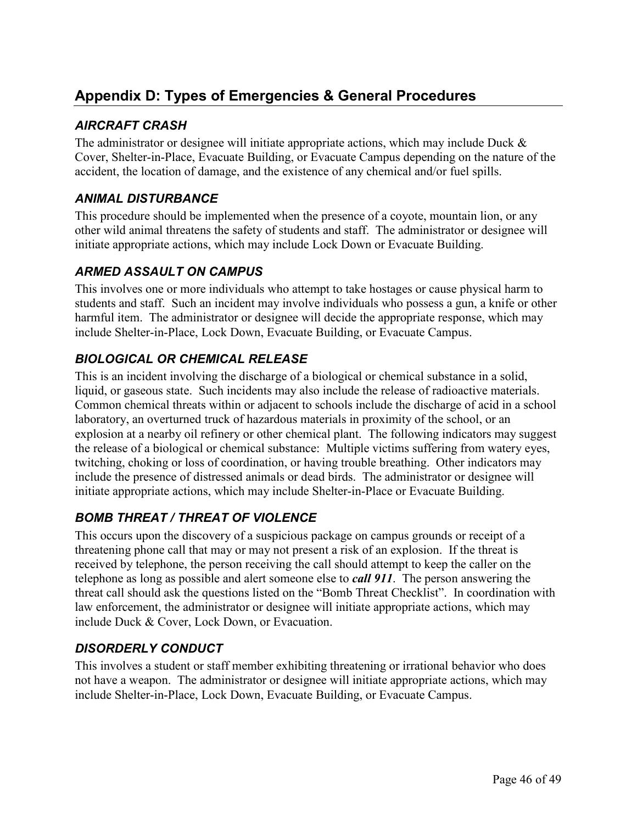# <span id="page-45-0"></span>**Appendix D: Types of Emergencies & General Procedures**

# *AIRCRAFT CRASH*

The administrator or designee will initiate appropriate actions, which may include Duck & Cover, Shelter-in-Place, Evacuate Building, or Evacuate Campus depending on the nature of the accident, the location of damage, and the existence of any chemical and/or fuel spills.

# *ANIMAL DISTURBANCE*

This procedure should be implemented when the presence of a coyote, mountain lion, or any other wild animal threatens the safety of students and staff. The administrator or designee will initiate appropriate actions, which may include Lock Down or Evacuate Building.

# *ARMED ASSAULT ON CAMPUS*

This involves one or more individuals who attempt to take hostages or cause physical harm to students and staff. Such an incident may involve individuals who possess a gun, a knife or other harmful item. The administrator or designee will decide the appropriate response, which may include Shelter-in-Place, Lock Down, Evacuate Building, or Evacuate Campus.

# *BIOLOGICAL OR CHEMICAL RELEASE*

This is an incident involving the discharge of a biological or chemical substance in a solid, liquid, or gaseous state. Such incidents may also include the release of radioactive materials. Common chemical threats within or adjacent to schools include the discharge of acid in a school laboratory, an overturned truck of hazardous materials in proximity of the school, or an explosion at a nearby oil refinery or other chemical plant. The following indicators may suggest the release of a biological or chemical substance: Multiple victims suffering from watery eyes, twitching, choking or loss of coordination, or having trouble breathing. Other indicators may include the presence of distressed animals or dead birds. The administrator or designee will initiate appropriate actions, which may include Shelter-in-Place or Evacuate Building.

# *BOMB THREAT / THREAT OF VIOLENCE*

This occurs upon the discovery of a suspicious package on campus grounds or receipt of a threatening phone call that may or may not present a risk of an explosion. If the threat is received by telephone, the person receiving the call should attempt to keep the caller on the telephone as long as possible and alert someone else to *call 911*. The person answering the threat call should ask the questions listed on the "Bomb Threat Checklist". In coordination with law enforcement, the administrator or designee will initiate appropriate actions, which may include Duck & Cover, Lock Down, or Evacuation.

# *DISORDERLY CONDUCT*

This involves a student or staff member exhibiting threatening or irrational behavior who does not have a weapon. The administrator or designee will initiate appropriate actions, which may include Shelter-in-Place, Lock Down, Evacuate Building, or Evacuate Campus.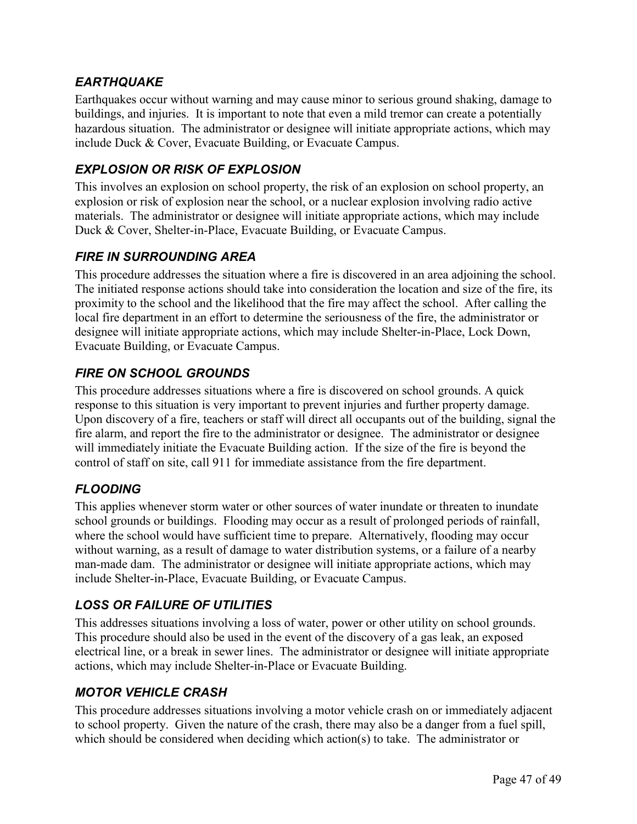# *EARTHQUAKE*

Earthquakes occur without warning and may cause minor to serious ground shaking, damage to buildings, and injuries. It is important to note that even a mild tremor can create a potentially hazardous situation. The administrator or designee will initiate appropriate actions, which may include Duck & Cover, Evacuate Building, or Evacuate Campus.

# *EXPLOSION OR RISK OF EXPLOSION*

This involves an explosion on school property, the risk of an explosion on school property, an explosion or risk of explosion near the school, or a nuclear explosion involving radio active materials. The administrator or designee will initiate appropriate actions, which may include Duck & Cover, Shelter-in-Place, Evacuate Building, or Evacuate Campus.

# *FIRE IN SURROUNDING AREA*

This procedure addresses the situation where a fire is discovered in an area adjoining the school. The initiated response actions should take into consideration the location and size of the fire, its proximity to the school and the likelihood that the fire may affect the school. After calling the local fire department in an effort to determine the seriousness of the fire, the administrator or designee will initiate appropriate actions, which may include Shelter-in-Place, Lock Down, Evacuate Building, or Evacuate Campus.

# *FIRE ON SCHOOL GROUNDS*

This procedure addresses situations where a fire is discovered on school grounds. A quick response to this situation is very important to prevent injuries and further property damage. Upon discovery of a fire, teachers or staff will direct all occupants out of the building, signal the fire alarm, and report the fire to the administrator or designee. The administrator or designee will immediately initiate the Evacuate Building action. If the size of the fire is beyond the control of staff on site, call 911 for immediate assistance from the fire department.

# *FLOODING*

This applies whenever storm water or other sources of water inundate or threaten to inundate school grounds or buildings. Flooding may occur as a result of prolonged periods of rainfall, where the school would have sufficient time to prepare. Alternatively, flooding may occur without warning, as a result of damage to water distribution systems, or a failure of a nearby man-made dam. The administrator or designee will initiate appropriate actions, which may include Shelter-in-Place, Evacuate Building, or Evacuate Campus.

# *LOSS OR FAILURE OF UTILITIES*

This addresses situations involving a loss of water, power or other utility on school grounds. This procedure should also be used in the event of the discovery of a gas leak, an exposed electrical line, or a break in sewer lines. The administrator or designee will initiate appropriate actions, which may include Shelter-in-Place or Evacuate Building.

# *MOTOR VEHICLE CRASH*

This procedure addresses situations involving a motor vehicle crash on or immediately adjacent to school property. Given the nature of the crash, there may also be a danger from a fuel spill, which should be considered when deciding which action(s) to take. The administrator or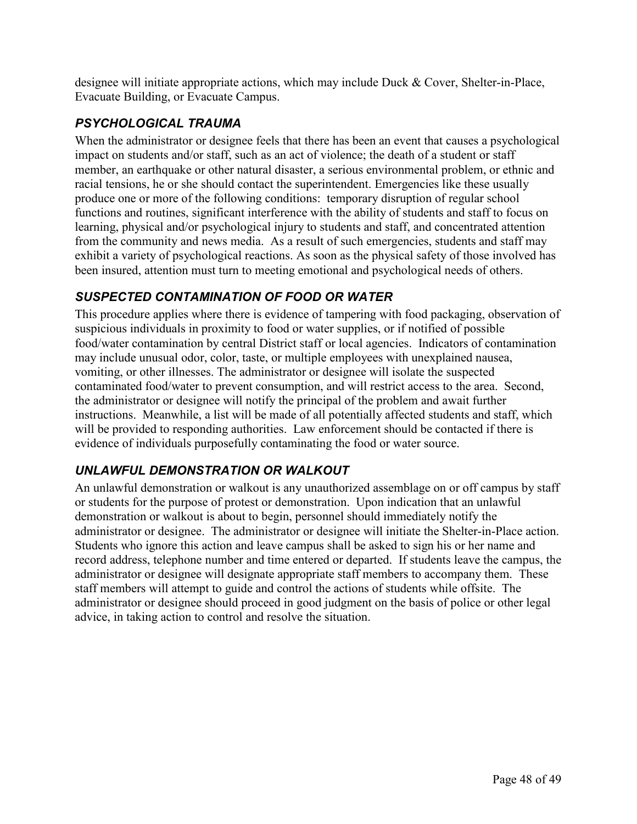designee will initiate appropriate actions, which may include Duck & Cover, Shelter-in-Place, Evacuate Building, or Evacuate Campus.

# *PSYCHOLOGICAL TRAUMA*

When the administrator or designee feels that there has been an event that causes a psychological impact on students and/or staff, such as an act of violence; the death of a student or staff member, an earthquake or other natural disaster, a serious environmental problem, or ethnic and racial tensions, he or she should contact the superintendent. Emergencies like these usually produce one or more of the following conditions: temporary disruption of regular school functions and routines, significant interference with the ability of students and staff to focus on learning, physical and/or psychological injury to students and staff, and concentrated attention from the community and news media. As a result of such emergencies, students and staff may exhibit a variety of psychological reactions. As soon as the physical safety of those involved has been insured, attention must turn to meeting emotional and psychological needs of others.

# *SUSPECTED CONTAMINATION OF FOOD OR WATER*

This procedure applies where there is evidence of tampering with food packaging, observation of suspicious individuals in proximity to food or water supplies, or if notified of possible food/water contamination by central District staff or local agencies. Indicators of contamination may include unusual odor, color, taste, or multiple employees with unexplained nausea, vomiting, or other illnesses. The administrator or designee will isolate the suspected contaminated food/water to prevent consumption, and will restrict access to the area. Second, the administrator or designee will notify the principal of the problem and await further instructions. Meanwhile, a list will be made of all potentially affected students and staff, which will be provided to responding authorities. Law enforcement should be contacted if there is evidence of individuals purposefully contaminating the food or water source.

# *UNLAWFUL DEMONSTRATION OR WALKOUT*

An unlawful demonstration or walkout is any unauthorized assemblage on or off campus by staff or students for the purpose of protest or demonstration. Upon indication that an unlawful demonstration or walkout is about to begin, personnel should immediately notify the administrator or designee. The administrator or designee will initiate the Shelter-in-Place action. Students who ignore this action and leave campus shall be asked to sign his or her name and record address, telephone number and time entered or departed. If students leave the campus, the administrator or designee will designate appropriate staff members to accompany them. These staff members will attempt to guide and control the actions of students while offsite. The administrator or designee should proceed in good judgment on the basis of police or other legal advice, in taking action to control and resolve the situation.